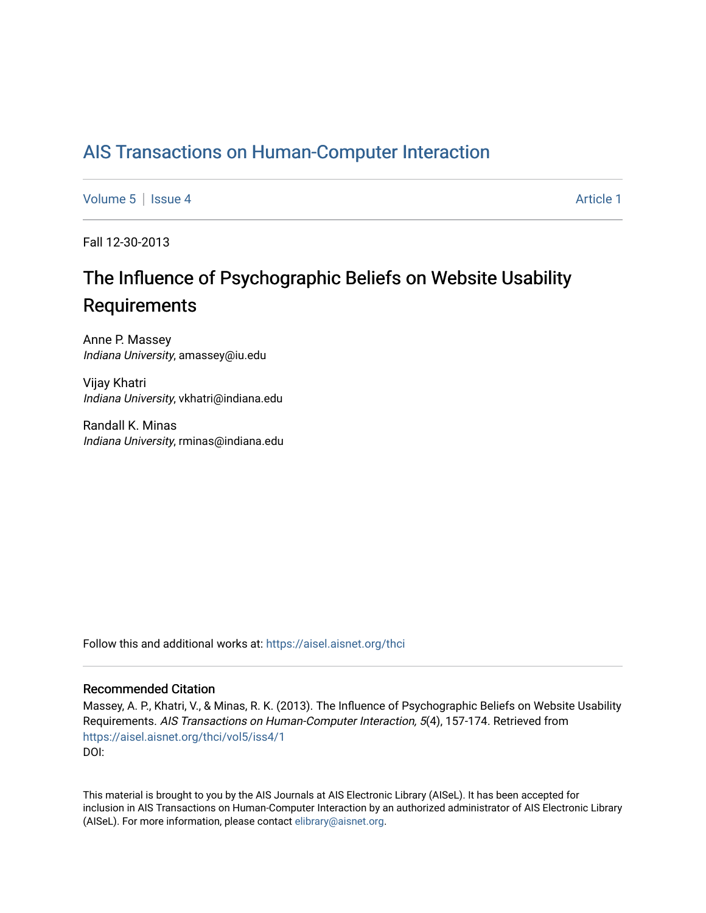## [AIS Transactions on Human-Computer Interaction](https://aisel.aisnet.org/thci)

[Volume 5](https://aisel.aisnet.org/thci/vol5) | [Issue 4](https://aisel.aisnet.org/thci/vol5/iss4) Article 1

Fall 12-30-2013

# The Influence of Psychographic Beliefs on Website Usability **Requirements**

Anne P. Massey Indiana University, amassey@iu.edu

Vijay Khatri Indiana University, vkhatri@indiana.edu

Randall K. Minas Indiana University, rminas@indiana.edu

Follow this and additional works at: [https://aisel.aisnet.org/thci](https://aisel.aisnet.org/thci?utm_source=aisel.aisnet.org%2Fthci%2Fvol5%2Fiss4%2F1&utm_medium=PDF&utm_campaign=PDFCoverPages) 

#### Recommended Citation

Massey, A. P., Khatri, V., & Minas, R. K. (2013). The Influence of Psychographic Beliefs on Website Usability Requirements. AIS Transactions on Human-Computer Interaction, 5(4), 157-174. Retrieved from [https://aisel.aisnet.org/thci/vol5/iss4/1](https://aisel.aisnet.org/thci/vol5/iss4/1?utm_source=aisel.aisnet.org%2Fthci%2Fvol5%2Fiss4%2F1&utm_medium=PDF&utm_campaign=PDFCoverPages)  DOI:

This material is brought to you by the AIS Journals at AIS Electronic Library (AISeL). It has been accepted for inclusion in AIS Transactions on Human-Computer Interaction by an authorized administrator of AIS Electronic Library (AISeL). For more information, please contact [elibrary@aisnet.org](mailto:elibrary@aisnet.org%3E).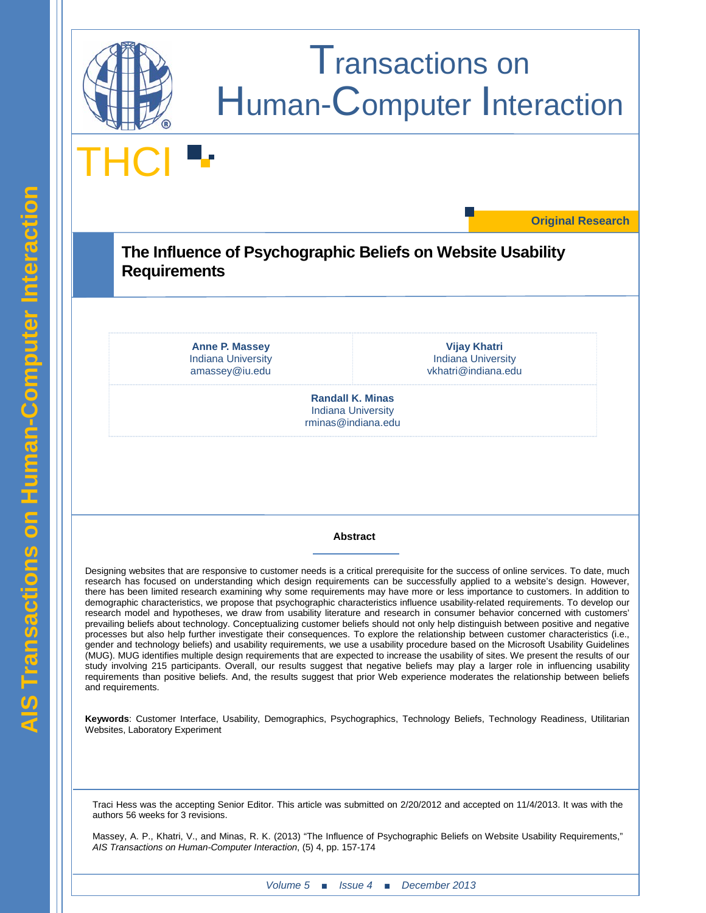

**Keywords**: Customer Interface, Usability, Demographics, Psychographics, Technology Beliefs, Technology Readiness, Utilitarian Websites, Laboratory Experiment

Traci Hess was the accepting Senior Editor. This article was submitted on 2/20/2012 and accepted on 11/4/2013. It was with the authors 56 weeks for 3 revisions.

Massey, A. P., Khatri, V., and Minas, R. K. (2013) "The Influence of Psychographic Beliefs on Website Usability Requirements," *AIS Transactions on Human-Computer Interaction*, (5) 4, pp. 157-174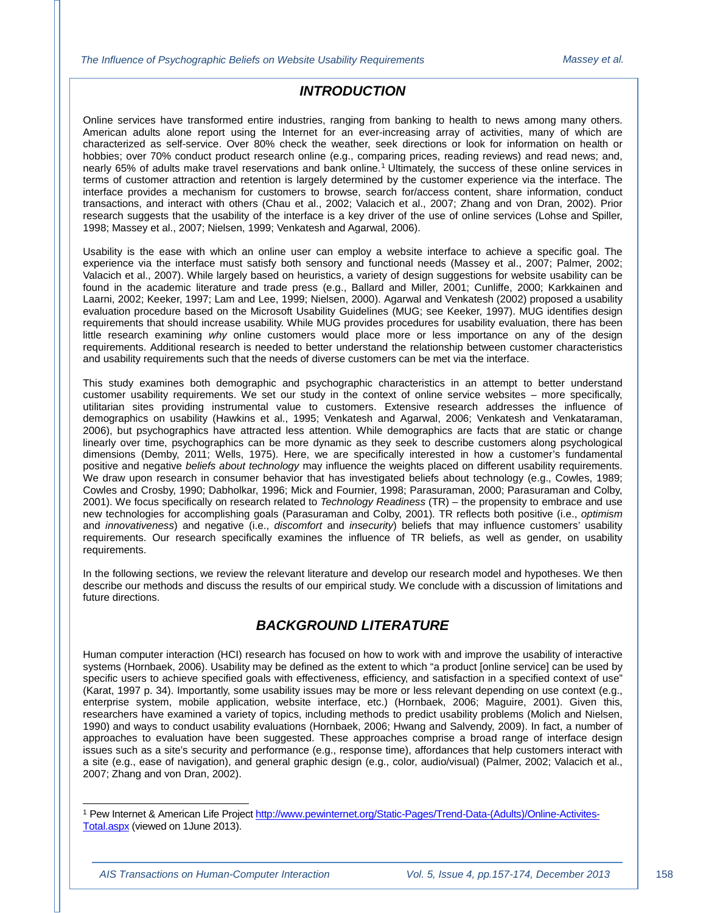## *INTRODUCTION*

Online services have transformed entire industries, ranging from banking to health to news among many others. American adults alone report using the Internet for an ever-increasing array of activities, many of which are characterized as self-service. Over 80% check the weather, seek directions or look for information on health or hobbies; over 70% conduct product research online (e.g., comparing prices, reading reviews) and read news; and, nearly 65% of adults make travel reservations and bank online.[1](#page-2-0) Ultimately, the success of these online services in terms of customer attraction and retention is largely determined by the customer experience via the interface. The interface provides a mechanism for customers to browse, search for/access content, share information, conduct transactions, and interact with others (Chau et al., 2002; Valacich et al., 2007; Zhang and von Dran, 2002). Prior research suggests that the usability of the interface is a key driver of the use of online services (Lohse and Spiller, 1998; Massey et al., 2007; Nielsen, 1999; Venkatesh and Agarwal, 2006).

Usability is the ease with which an online user can employ a website interface to achieve a specific goal. The experience via the interface must satisfy both sensory and functional needs (Massey et al., 2007; Palmer, 2002; Valacich et al., 2007). While largely based on heuristics, a variety of design suggestions for website usability can be found in the academic literature and trade press (e.g., Ballard and Miller, 2001; Cunliffe, 2000; Karkkainen and Laarni, 2002; Keeker, 1997; Lam and Lee, 1999; Nielsen, 2000). Agarwal and Venkatesh (2002) proposed a usability evaluation procedure based on the Microsoft Usability Guidelines (MUG; see Keeker, 1997). MUG identifies design requirements that should increase usability. While MUG provides procedures for usability evaluation, there has been little research examining *why* online customers would place more or less importance on any of the design requirements. Additional research is needed to better understand the relationship between customer characteristics and usability requirements such that the needs of diverse customers can be met via the interface.

This study examines both demographic and psychographic characteristics in an attempt to better understand customer usability requirements. We set our study in the context of online service websites – more specifically, utilitarian sites providing instrumental value to customers. Extensive research addresses the influence of demographics on usability (Hawkins et al., 1995; Venkatesh and Agarwal, 2006; Venkatesh and Venkataraman, 2006), but psychographics have attracted less attention. While demographics are facts that are static or change linearly over time, psychographics can be more dynamic as they seek to describe customers along psychological dimensions (Demby, 2011; Wells, 1975). Here, we are specifically interested in how a customer's fundamental positive and negative *beliefs about technology* may influence the weights placed on different usability requirements. We draw upon research in consumer behavior that has investigated beliefs about technology (e.g., Cowles, 1989; Cowles and Crosby, 1990; Dabholkar, 1996; Mick and Fournier, 1998; Parasuraman, 2000; Parasuraman and Colby, 2001). We focus specifically on research related to *Technology Readiness* (TR) – the propensity to embrace and use new technologies for accomplishing goals (Parasuraman and Colby, 2001). TR reflects both positive (i.e., *optimism* and *innovativeness*) and negative (i.e., *discomfort* and *insecurity*) beliefs that may influence customers' usability requirements. Our research specifically examines the influence of TR beliefs, as well as gender, on usability requirements.

In the following sections, we review the relevant literature and develop our research model and hypotheses. We then describe our methods and discuss the results of our empirical study. We conclude with a discussion of limitations and future directions.

## *BACKGROUND LITERATURE*

Human computer interaction (HCI) research has focused on how to work with and improve the usability of interactive systems (Hornbaek, 2006). Usability may be defined as the extent to which "a product [online service] can be used by specific users to achieve specified goals with effectiveness, efficiency, and satisfaction in a specified context of use" (Karat, 1997 p. 34). Importantly, some usability issues may be more or less relevant depending on use context (e.g., enterprise system, mobile application, website interface, etc.) (Hornbaek, 2006; Maguire, 2001). Given this, researchers have examined a variety of topics, including methods to predict usability problems (Molich and Nielsen, 1990) and ways to conduct usability evaluations (Hornbaek, 2006; Hwang and Salvendy, 2009). In fact, a number of approaches to evaluation have been suggested. These approaches comprise a broad range of interface design issues such as a site's security and performance (e.g., response time), affordances that help customers interact with a site (e.g., ease of navigation), and general graphic design (e.g., color, audio/visual) (Palmer, 2002; Valacich et al., 2007; Zhang and von Dran, 2002).

j

<span id="page-2-0"></span><sup>&</sup>lt;sup>1</sup> Pew Internet & American Life Projec[t http://www.pewinternet.org/Static-Pages/Trend-Data-\(Adults\)/Online-Activites-](http://www.pewinternet.org/Static-Pages/Trend-Data-(Adults)/Online-Activites-Total.aspx)[Total.aspx](http://www.pewinternet.org/Static-Pages/Trend-Data-(Adults)/Online-Activites-Total.aspx) (viewed on 1June 2013).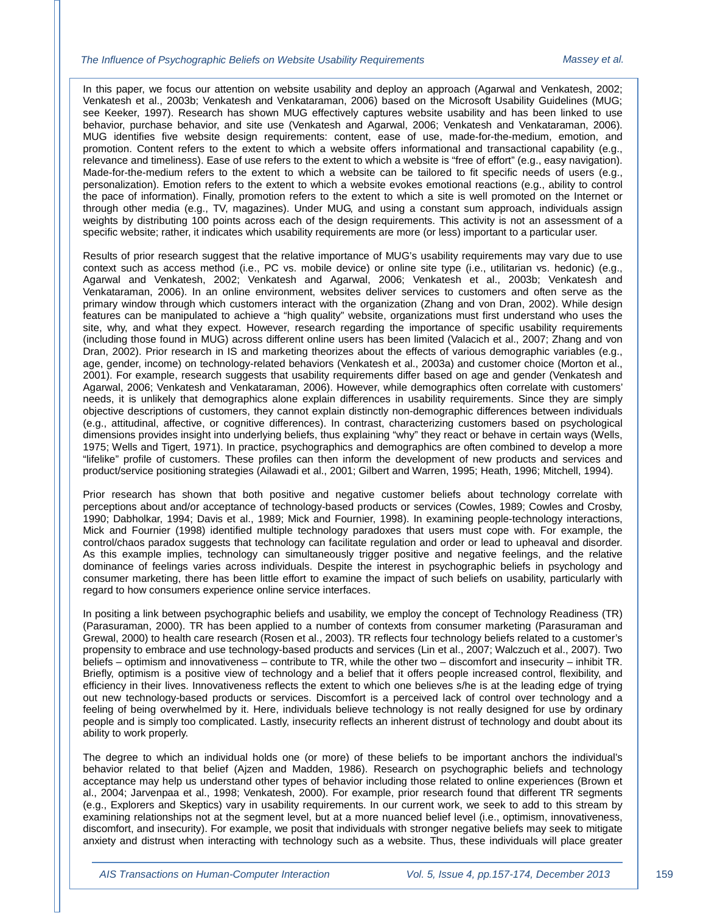#### *The Influence of Psychographic Beliefs on Website Usability Requirements Massey et al.*

In this paper, we focus our attention on website usability and deploy an approach (Agarwal and Venkatesh, 2002; Venkatesh et al., 2003b; Venkatesh and Venkataraman, 2006) based on the Microsoft Usability Guidelines (MUG; see Keeker, 1997). Research has shown MUG effectively captures website usability and has been linked to use behavior, purchase behavior, and site use (Venkatesh and Agarwal, 2006; Venkatesh and Venkataraman, 2006). MUG identifies five website design requirements: content, ease of use, made-for-the-medium, emotion, and promotion. Content refers to the extent to which a website offers informational and transactional capability (e.g., relevance and timeliness). Ease of use refers to the extent to which a website is "free of effort" (e.g., easy navigation). Made-for-the-medium refers to the extent to which a website can be tailored to fit specific needs of users (e.g., personalization). Emotion refers to the extent to which a website evokes emotional reactions (e.g., ability to control the pace of information). Finally, promotion refers to the extent to which a site is well promoted on the Internet or through other media (e.g., TV, magazines). Under MUG, and using a constant sum approach, individuals assign weights by distributing 100 points across each of the design requirements. This activity is not an assessment of a specific website; rather, it indicates which usability requirements are more (or less) important to a particular user.

Results of prior research suggest that the relative importance of MUG's usability requirements may vary due to use context such as access method (i.e., PC vs. mobile device) or online site type (i.e., utilitarian vs. hedonic) (e.g., Agarwal and Venkatesh, 2002; Venkatesh and Agarwal, 2006; Venkatesh et al., 2003b; Venkatesh and Venkataraman, 2006). In an online environment, websites deliver services to customers and often serve as the primary window through which customers interact with the organization (Zhang and von Dran, 2002). While design features can be manipulated to achieve a "high quality" website, organizations must first understand who uses the site, why, and what they expect. However, research regarding the importance of specific usability requirements (including those found in MUG) across different online users has been limited (Valacich et al., 2007; Zhang and von Dran, 2002). Prior research in IS and marketing theorizes about the effects of various demographic variables (e.g., age, gender, income) on technology-related behaviors (Venkatesh et al., 2003a) and customer choice (Morton et al., 2001). For example, research suggests that usability requirements differ based on age and gender (Venkatesh and Agarwal, 2006; Venkatesh and Venkataraman, 2006). However, while demographics often correlate with customers' needs, it is unlikely that demographics alone explain differences in usability requirements. Since they are simply objective descriptions of customers, they cannot explain distinctly non-demographic differences between individuals (e.g., attitudinal, affective, or cognitive differences). In contrast, characterizing customers based on psychological dimensions provides insight into underlying beliefs, thus explaining "why" they react or behave in certain ways (Wells, 1975; Wells and Tigert, 1971). In practice, psychographics and demographics are often combined to develop a more "lifelike" profile of customers. These profiles can then inform the development of new products and services and product/service positioning strategies (Ailawadi et al., 2001; Gilbert and Warren, 1995; Heath, 1996; Mitchell, 1994).

Prior research has shown that both positive and negative customer beliefs about technology correlate with perceptions about and/or acceptance of technology-based products or services (Cowles, 1989; Cowles and Crosby, 1990; Dabholkar, 1994; Davis et al., 1989; Mick and Fournier, 1998). In examining people-technology interactions, Mick and Fournier (1998) identified multiple technology paradoxes that users must cope with. For example, the control/chaos paradox suggests that technology can facilitate regulation and order or lead to upheaval and disorder. As this example implies, technology can simultaneously trigger positive and negative feelings, and the relative dominance of feelings varies across individuals. Despite the interest in psychographic beliefs in psychology and consumer marketing, there has been little effort to examine the impact of such beliefs on usability, particularly with regard to how consumers experience online service interfaces.

In positing a link between psychographic beliefs and usability, we employ the concept of Technology Readiness (TR) (Parasuraman, 2000). TR has been applied to a number of contexts from consumer marketing (Parasuraman and Grewal, 2000) to health care research (Rosen et al., 2003). TR reflects four technology beliefs related to a customer's propensity to embrace and use technology-based products and services (Lin et al., 2007; Walczuch et al., 2007). Two beliefs – optimism and innovativeness – contribute to TR, while the other two – discomfort and insecurity – inhibit TR. Briefly, optimism is a positive view of technology and a belief that it offers people increased control, flexibility, and efficiency in their lives. Innovativeness reflects the extent to which one believes s/he is at the leading edge of trying out new technology-based products or services. Discomfort is a perceived lack of control over technology and a feeling of being overwhelmed by it. Here, individuals believe technology is not really designed for use by ordinary people and is simply too complicated. Lastly, insecurity reflects an inherent distrust of technology and doubt about its ability to work properly.

The degree to which an individual holds one (or more) of these beliefs to be important anchors the individual's behavior related to that belief (Ajzen and Madden, 1986). Research on psychographic beliefs and technology acceptance may help us understand other types of behavior including those related to online experiences (Brown et al., 2004; Jarvenpaa et al., 1998; Venkatesh, 2000). For example, prior research found that different TR segments (e.g., Explorers and Skeptics) vary in usability requirements. In our current work, we seek to add to this stream by examining relationships not at the segment level, but at a more nuanced belief level (i.e., optimism, innovativeness, discomfort, and insecurity). For example, we posit that individuals with stronger negative beliefs may seek to mitigate anxiety and distrust when interacting with technology such as a website. Thus, these individuals will place greater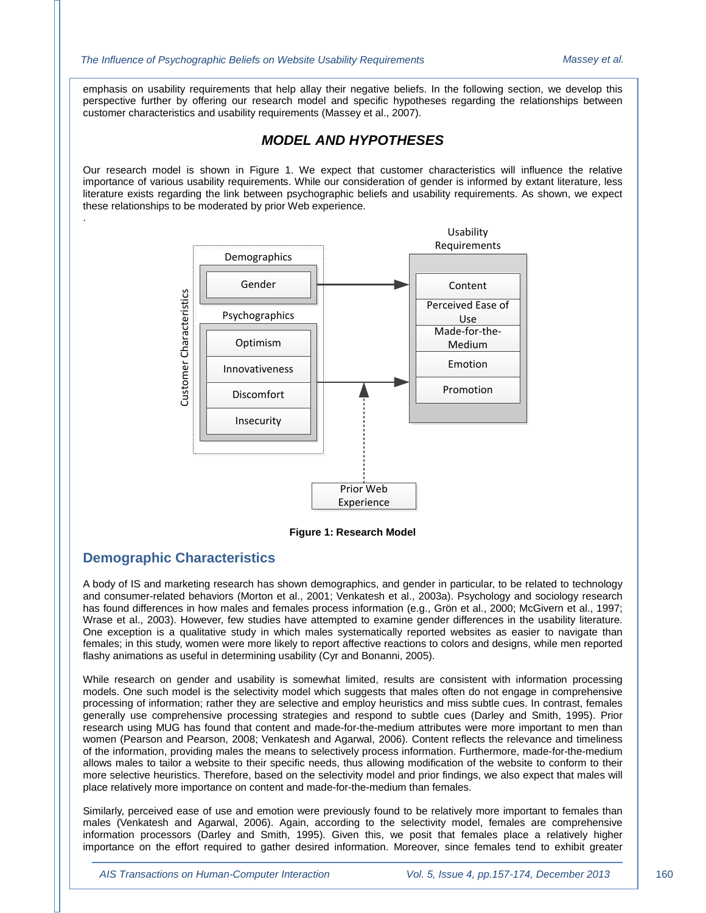emphasis on usability requirements that help allay their negative beliefs. In the following section, we develop this perspective further by offering our research model and specific hypotheses regarding the relationships between customer characteristics and usability requirements (Massey et al., 2007).

## *MODEL AND HYPOTHESES*

Our research model is shown in Figure 1. We expect that customer characteristics will influence the relative importance of various usability requirements. While our consideration of gender is informed by extant literature, less literature exists regarding the link between psychographic beliefs and usability requirements. As shown, we expect these relationships to be moderated by prior Web experience.



**Figure 1: Research Model**

#### **Demographic Characteristics**

.

A body of IS and marketing research has shown demographics, and gender in particular, to be related to technology and consumer-related behaviors (Morton et al., 2001; Venkatesh et al., 2003a). Psychology and sociology research has found differences in how males and females process information (e.g., Grön et al., 2000; McGivern et al., 1997; Wrase et al., 2003). However, few studies have attempted to examine gender differences in the usability literature. One exception is a qualitative study in which males systematically reported websites as easier to navigate than females; in this study, women were more likely to report affective reactions to colors and designs, while men reported flashy animations as useful in determining usability (Cyr and Bonanni, 2005).

While research on gender and usability is somewhat limited, results are consistent with information processing models. One such model is the selectivity model which suggests that males often do not engage in comprehensive processing of information; rather they are selective and employ heuristics and miss subtle cues. In contrast, females generally use comprehensive processing strategies and respond to subtle cues (Darley and Smith, 1995). Prior research using MUG has found that content and made-for-the-medium attributes were more important to men than women (Pearson and Pearson, 2008; Venkatesh and Agarwal, 2006). Content reflects the relevance and timeliness of the information, providing males the means to selectively process information. Furthermore, made-for-the-medium allows males to tailor a website to their specific needs, thus allowing modification of the website to conform to their more selective heuristics. Therefore, based on the selectivity model and prior findings, we also expect that males will place relatively more importance on content and made-for-the-medium than females.

Similarly, perceived ease of use and emotion were previously found to be relatively more important to females than males (Venkatesh and Agarwal, 2006). Again, according to the selectivity model, females are comprehensive information processors (Darley and Smith, 1995). Given this, we posit that females place a relatively higher importance on the effort required to gather desired information. Moreover, since females tend to exhibit greater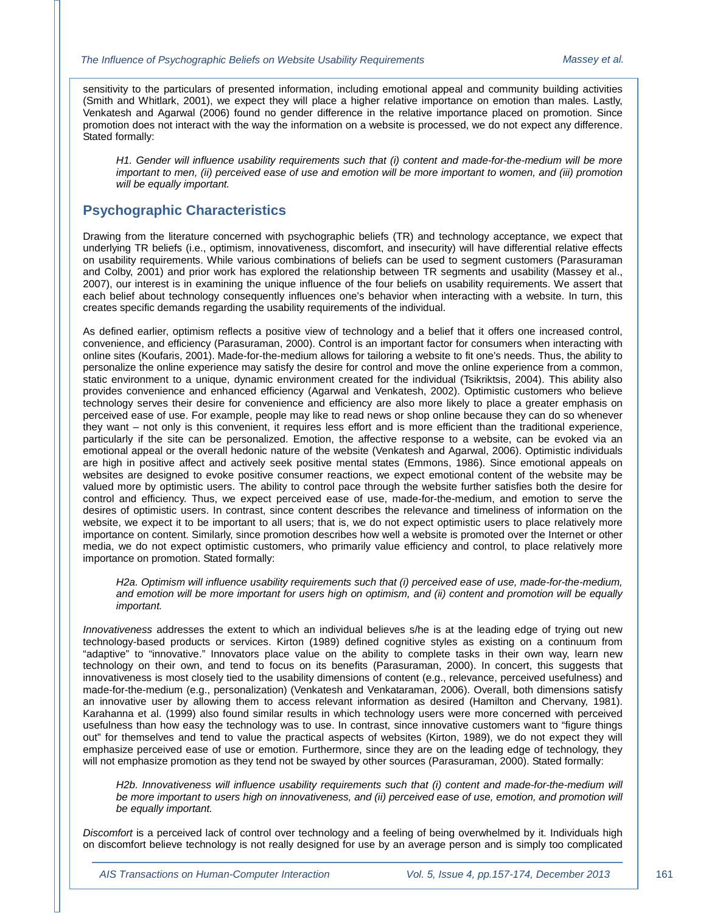sensitivity to the particulars of presented information, including emotional appeal and community building activities (Smith and Whitlark, 2001), we expect they will place a higher relative importance on emotion than males. Lastly, Venkatesh and Agarwal (2006) found no gender difference in the relative importance placed on promotion. Since promotion does not interact with the way the information on a website is processed, we do not expect any difference. Stated formally:

*H1. Gender will influence usability requirements such that (i) content and made-for-the-medium will be more important to men, (ii) perceived ease of use and emotion will be more important to women, and (iii) promotion will be equally important.*

#### **Psychographic Characteristics**

Drawing from the literature concerned with psychographic beliefs (TR) and technology acceptance, we expect that underlying TR beliefs (i.e., optimism, innovativeness, discomfort, and insecurity) will have differential relative effects on usability requirements. While various combinations of beliefs can be used to segment customers (Parasuraman and Colby, 2001) and prior work has explored the relationship between TR segments and usability (Massey et al., 2007), our interest is in examining the unique influence of the four beliefs on usability requirements. We assert that each belief about technology consequently influences one's behavior when interacting with a website. In turn, this creates specific demands regarding the usability requirements of the individual.

As defined earlier, optimism reflects a positive view of technology and a belief that it offers one increased control, convenience, and efficiency (Parasuraman, 2000). Control is an important factor for consumers when interacting with online sites (Koufaris, 2001). Made-for-the-medium allows for tailoring a website to fit one's needs. Thus, the ability to personalize the online experience may satisfy the desire for control and move the online experience from a common, static environment to a unique, dynamic environment created for the individual (Tsikriktsis, 2004). This ability also provides convenience and enhanced efficiency (Agarwal and Venkatesh, 2002). Optimistic customers who believe technology serves their desire for convenience and efficiency are also more likely to place a greater emphasis on perceived ease of use. For example, people may like to read news or shop online because they can do so whenever they want – not only is this convenient, it requires less effort and is more efficient than the traditional experience, particularly if the site can be personalized. Emotion, the affective response to a website, can be evoked via an emotional appeal or the overall hedonic nature of the website (Venkatesh and Agarwal, 2006). Optimistic individuals are high in positive affect and actively seek positive mental states (Emmons, 1986). Since emotional appeals on websites are designed to evoke positive consumer reactions, we expect emotional content of the website may be valued more by optimistic users. The ability to control pace through the website further satisfies both the desire for control and efficiency. Thus, we expect perceived ease of use, made-for-the-medium, and emotion to serve the desires of optimistic users. In contrast, since content describes the relevance and timeliness of information on the website, we expect it to be important to all users; that is, we do not expect optimistic users to place relatively more importance on content. Similarly, since promotion describes how well a website is promoted over the Internet or other media, we do not expect optimistic customers, who primarily value efficiency and control, to place relatively more importance on promotion. Stated formally:

*H2a. Optimism will influence usability requirements such that (i) perceived ease of use, made-for-the-medium, and emotion will be more important for users high on optimism, and (ii) content and promotion will be equally important.*

*Innovativeness* addresses the extent to which an individual believes s/he is at the leading edge of trying out new technology-based products or services. Kirton (1989) defined cognitive styles as existing on a continuum from "adaptive" to "innovative." Innovators place value on the ability to complete tasks in their own way, learn new technology on their own, and tend to focus on its benefits (Parasuraman, 2000). In concert, this suggests that innovativeness is most closely tied to the usability dimensions of content (e.g., relevance, perceived usefulness) and made-for-the-medium (e.g., personalization) (Venkatesh and Venkataraman, 2006). Overall, both dimensions satisfy an innovative user by allowing them to access relevant information as desired (Hamilton and Chervany, 1981). Karahanna et al. (1999) also found similar results in which technology users were more concerned with perceived usefulness than how easy the technology was to use. In contrast, since innovative customers want to "figure things out" for themselves and tend to value the practical aspects of websites (Kirton, 1989), we do not expect they will emphasize perceived ease of use or emotion. Furthermore, since they are on the leading edge of technology, they will not emphasize promotion as they tend not be swayed by other sources (Parasuraman, 2000). Stated formally:

*H2b. Innovativeness will influence usability requirements such that (i) content and made-for-the-medium will*  be more important to users high on innovativeness, and (ii) perceived ease of use, emotion, and promotion will *be equally important.*

*Discomfort* is a perceived lack of control over technology and a feeling of being overwhelmed by it. Individuals high on discomfort believe technology is not really designed for use by an average person and is simply too complicated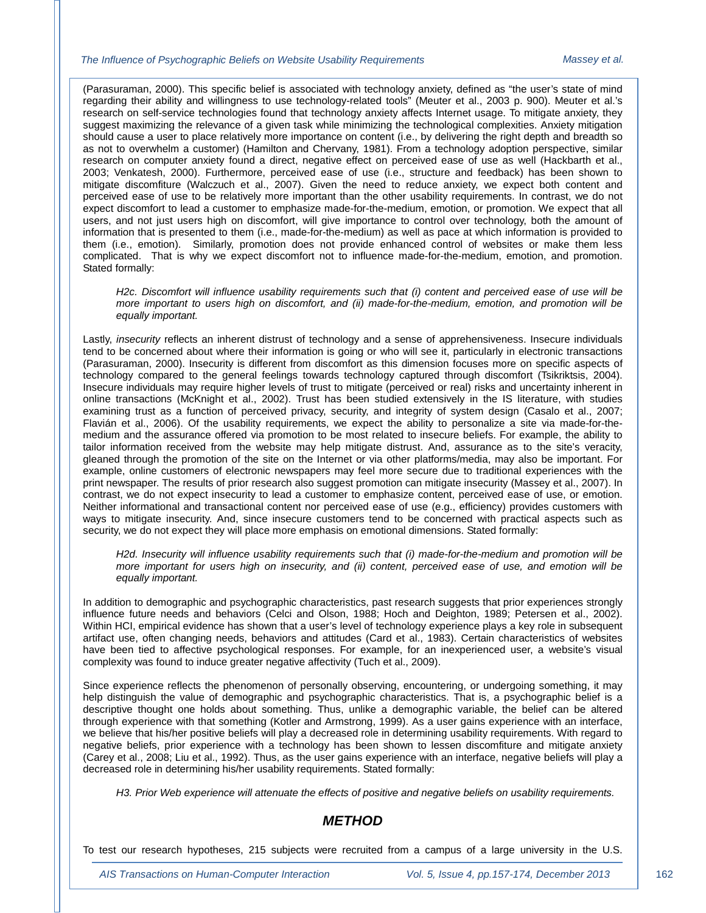(Parasuraman, 2000). This specific belief is associated with technology anxiety, defined as "the user's state of mind regarding their ability and willingness to use technology-related tools" (Meuter et al., 2003 p. 900). Meuter et al.'s research on self-service technologies found that technology anxiety affects Internet usage. To mitigate anxiety, they suggest maximizing the relevance of a given task while minimizing the technological complexities. Anxiety mitigation should cause a user to place relatively more importance on content (i.e., by delivering the right depth and breadth so as not to overwhelm a customer) (Hamilton and Chervany, 1981). From a technology adoption perspective, similar research on computer anxiety found a direct, negative effect on perceived ease of use as well (Hackbarth et al., 2003; Venkatesh, 2000). Furthermore, perceived ease of use (i.e., structure and feedback) has been shown to mitigate discomfiture (Walczuch et al., 2007). Given the need to reduce anxiety, we expect both content and perceived ease of use to be relatively more important than the other usability requirements. In contrast, we do not expect discomfort to lead a customer to emphasize made-for-the-medium, emotion, or promotion. We expect that all users, and not just users high on discomfort, will give importance to control over technology, both the amount of information that is presented to them (i.e., made-for-the-medium) as well as pace at which information is provided to them (i.e., emotion). Similarly, promotion does not provide enhanced control of websites or make them less complicated. That is why we expect discomfort not to influence made-for-the-medium, emotion, and promotion. Stated formally:

*H2c. Discomfort will influence usability requirements such that (i) content and perceived ease of use will be more important to users high on discomfort, and (ii) made-for-the-medium, emotion, and promotion will be equally important.*

Lastly, *insecurity* reflects an inherent distrust of technology and a sense of apprehensiveness. Insecure individuals tend to be concerned about where their information is going or who will see it, particularly in electronic transactions (Parasuraman, 2000). Insecurity is different from discomfort as this dimension focuses more on specific aspects of technology compared to the general feelings towards technology captured through discomfort (Tsikriktsis, 2004). Insecure individuals may require higher levels of trust to mitigate (perceived or real) risks and uncertainty inherent in online transactions (McKnight et al., 2002). Trust has been studied extensively in the IS literature, with studies examining trust as a function of perceived privacy, security, and integrity of system design (Casalo et al., 2007; Flavián et al., 2006). Of the usability requirements, we expect the ability to personalize a site via made-for-themedium and the assurance offered via promotion to be most related to insecure beliefs. For example, the ability to tailor information received from the website may help mitigate distrust. And, assurance as to the site's veracity, gleaned through the promotion of the site on the Internet or via other platforms/media, may also be important. For example, online customers of electronic newspapers may feel more secure due to traditional experiences with the print newspaper. The results of prior research also suggest promotion can mitigate insecurity (Massey et al., 2007). In contrast, we do not expect insecurity to lead a customer to emphasize content, perceived ease of use, or emotion. Neither informational and transactional content nor perceived ease of use (e.g., efficiency) provides customers with ways to mitigate insecurity. And, since insecure customers tend to be concerned with practical aspects such as security, we do not expect they will place more emphasis on emotional dimensions. Stated formally:

*H2d. Insecurity will influence usability requirements such that (i) made-for-the-medium and promotion will be more important for users high on insecurity, and (ii) content, perceived ease of use, and emotion will be equally important.*

In addition to demographic and psychographic characteristics, past research suggests that prior experiences strongly influence future needs and behaviors (Celci and Olson, 1988; Hoch and Deighton, 1989; Petersen et al., 2002). Within HCI, empirical evidence has shown that a user's level of technology experience plays a key role in subsequent artifact use, often changing needs, behaviors and attitudes (Card et al., 1983). Certain characteristics of websites have been tied to affective psychological responses. For example, for an inexperienced user, a website's visual complexity was found to induce greater negative affectivity (Tuch et al., 2009).

Since experience reflects the phenomenon of personally observing, encountering, or undergoing something, it may help distinguish the value of demographic and psychographic characteristics. That is, a psychographic belief is a descriptive thought one holds about something. Thus, unlike a demographic variable, the belief can be altered through experience with that something (Kotler and Armstrong, 1999). As a user gains experience with an interface, we believe that his/her positive beliefs will play a decreased role in determining usability requirements. With regard to negative beliefs, prior experience with a technology has been shown to lessen discomfiture and mitigate anxiety (Carey et al., 2008; Liu et al., 1992). Thus, as the user gains experience with an interface, negative beliefs will play a decreased role in determining his/her usability requirements. Stated formally:

*H3. Prior Web experience will attenuate the effects of positive and negative beliefs on usability requirements.*

#### *METHOD*

To test our research hypotheses, 215 subjects were recruited from a campus of a large university in the U.S.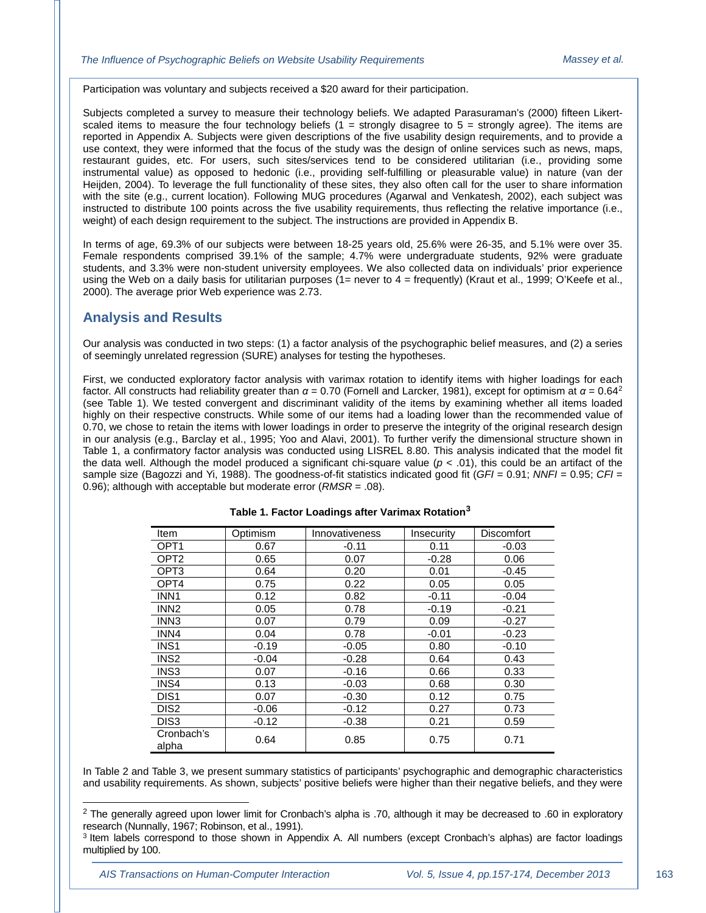Participation was voluntary and subjects received a \$20 award for their participation.

Subjects completed a survey to measure their technology beliefs. We adapted Parasuraman's (2000) fifteen Likertscaled items to measure the four technology beliefs  $(1 =$  strongly disagree to  $5 =$  strongly agree). The items are reported in Appendix A. Subjects were given descriptions of the five usability design requirements, and to provide a use context, they were informed that the focus of the study was the design of online services such as news, maps, restaurant guides, etc. For users, such sites/services tend to be considered utilitarian (i.e., providing some instrumental value) as opposed to hedonic (i.e., providing self-fulfilling or pleasurable value) in nature (van der Heijden, 2004). To leverage the full functionality of these sites, they also often call for the user to share information with the site (e.g., current location). Following MUG procedures (Agarwal and Venkatesh, 2002), each subject was instructed to distribute 100 points across the five usability requirements, thus reflecting the relative importance (i.e., weight) of each design requirement to the subject. The instructions are provided in Appendix B.

In terms of age, 69.3% of our subjects were between 18-25 years old, 25.6% were 26-35, and 5.1% were over 35. Female respondents comprised 39.1% of the sample; 4.7% were undergraduate students, 92% were graduate students, and 3.3% were non-student university employees. We also collected data on individuals' prior experience using the Web on a daily basis for utilitarian purposes ( $1=$  never to  $4=$  frequently) (Kraut et al., 1999; O'Keefe et al., 2000). The average prior Web experience was 2.73.

#### **Analysis and Results**

Our analysis was conducted in two steps: (1) a factor analysis of the psychographic belief measures, and (2) a series of seemingly unrelated regression (SURE) analyses for testing the hypotheses.

First, we conducted exploratory factor analysis with varimax rotation to identify items with higher loadings for each factor. All constructs had reliability greater than  $α = 0.70$  (Fornell and Larcker, 1981), except for optimism at  $α = 0.64<sup>2</sup>$  $α = 0.64<sup>2</sup>$  $α = 0.64<sup>2</sup>$ (see Table 1). We tested convergent and discriminant validity of the items by examining whether all items loaded highly on their respective constructs. While some of our items had a loading lower than the recommended value of 0.70, we chose to retain the items with lower loadings in order to preserve the integrity of the original research design in our analysis (e.g., Barclay et al., 1995; Yoo and Alavi, 2001). To further verify the dimensional structure shown in Table 1, a confirmatory factor analysis was conducted using LISREL 8.80. This analysis indicated that the model fit the data well. Although the model produced a significant chi-square value ( $p < .01$ ), this could be an artifact of the sample size (Bagozzi and Yi, 1988). The goodness-of-fit statistics indicated good fit (*GFI* = 0.91; *NNFI* = 0.95; *CFI* = 0.96); although with acceptable but moderate error (*RMSR* = .08).

| Item                | Optimism | Innovativeness | Insecurity | Discomfort |
|---------------------|----------|----------------|------------|------------|
| OPT <sub>1</sub>    | 0.67     | $-0.11$        | 0.11       | -0.03      |
| OPT <sub>2</sub>    | 0.65     | 0.07           | $-0.28$    | 0.06       |
| OPT3                | 0.64     | 0.20           | 0.01       | $-0.45$    |
| OPT4                | 0.75     | 0.22           | 0.05       | 0.05       |
| INN <sub>1</sub>    | 0.12     | 0.82           | $-0.11$    | $-0.04$    |
| INN <sub>2</sub>    | 0.05     | 0.78           | $-0.19$    | $-0.21$    |
| INN <sub>3</sub>    | 0.07     | 0.79           | 0.09       | $-0.27$    |
| INN4                | 0.04     | 0.78           | $-0.01$    | $-0.23$    |
| INS <sub>1</sub>    | $-0.19$  | $-0.05$        | 0.80       | $-0.10$    |
| INS <sub>2</sub>    | $-0.04$  | $-0.28$        | 0.64       | 0.43       |
| INS3                | 0.07     | $-0.16$        | 0.66       | 0.33       |
| INS4                | 0.13     | $-0.03$        | 0.68       | 0.30       |
| DIS <sub>1</sub>    | 0.07     | $-0.30$        | 0.12       | 0.75       |
| DIS <sub>2</sub>    | $-0.06$  | $-0.12$        | 0.27       | 0.73       |
| DIS <sub>3</sub>    | $-0.12$  | $-0.38$        | 0.21       | 0.59       |
| Cronbach's<br>alpha | 0.64     | 0.85           | 0.75       | 0.71       |

**Table 1. Factor Loadings after Varimax Rotation[3](#page-7-1)**

In Table 2 and Table 3, we present summary statistics of participants' psychographic and demographic characteristics and usability requirements. As shown, subjects' positive beliefs were higher than their negative beliefs, and they were

j

<span id="page-7-0"></span><sup>&</sup>lt;sup>2</sup> The generally agreed upon lower limit for Cronbach's alpha is .70, although it may be decreased to .60 in exploratory research (Nunnally, 1967; Robinson, et al., 1991).

<span id="page-7-1"></span><sup>3</sup> Item labels correspond to those shown in Appendix A. All numbers (except Cronbach's alphas) are factor loadings multiplied by 100.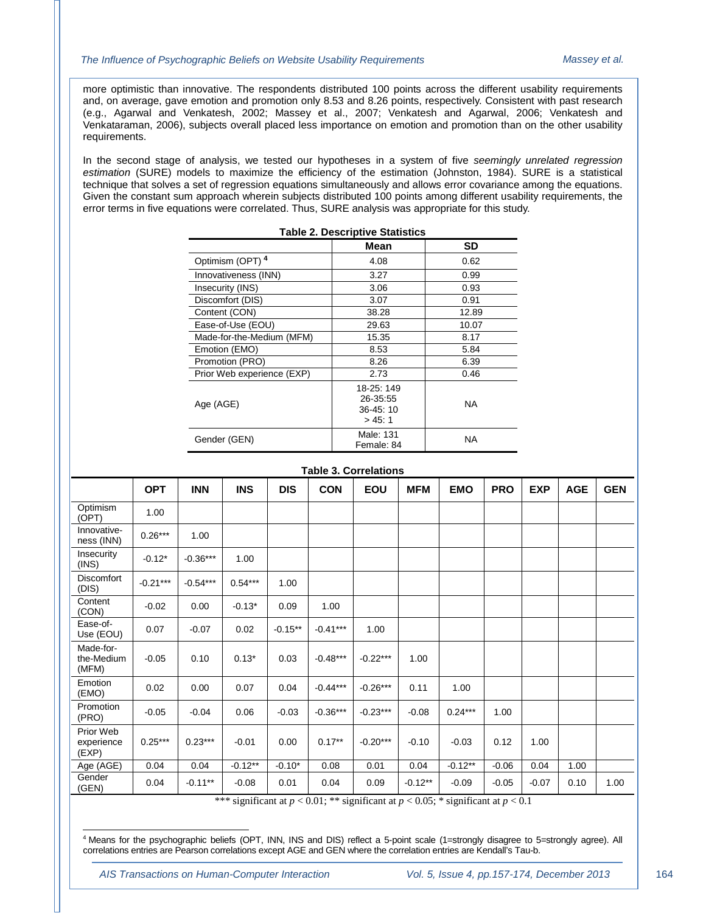more optimistic than innovative. The respondents distributed 100 points across the different usability requirements and, on average, gave emotion and promotion only 8.53 and 8.26 points, respectively. Consistent with past research (e.g., Agarwal and Venkatesh, 2002; Massey et al., 2007; Venkatesh and Agarwal, 2006; Venkatesh and Venkataraman, 2006), subjects overall placed less importance on emotion and promotion than on the other usability requirements.

In the second stage of analysis, we tested our hypotheses in a system of five *seemingly unrelated regression estimation* (SURE) models to maximize the efficiency of the estimation (Johnston, 1984). SURE is a statistical technique that solves a set of regression equations simultaneously and allows error covariance among the equations. Given the constant sum approach wherein subjects distributed 100 points among different usability requirements, the error terms in five equations were correlated. Thus, SURE analysis was appropriate for this study.

| <b>Table 2. Descriptive Statistics</b> |                                              |           |  |  |  |
|----------------------------------------|----------------------------------------------|-----------|--|--|--|
|                                        | Mean                                         | <b>SD</b> |  |  |  |
| Optimism (OPT) 4                       | 4.08                                         | 0.62      |  |  |  |
| Innovativeness (INN)                   | 3.27                                         | 0.99      |  |  |  |
| Insecurity (INS)                       | 3.06                                         | 0.93      |  |  |  |
| Discomfort (DIS)                       | 3.07                                         | 0.91      |  |  |  |
| Content (CON)                          | 38.28                                        | 12.89     |  |  |  |
| Ease-of-Use (EOU)                      | 29.63                                        | 10.07     |  |  |  |
| Made-for-the-Medium (MFM)              | 15.35                                        | 8.17      |  |  |  |
| Emotion (EMO)                          | 8.53                                         | 5.84      |  |  |  |
| Promotion (PRO)                        | 8.26                                         | 6.39      |  |  |  |
| Prior Web experience (EXP)             | 2.73                                         | 0.46      |  |  |  |
| Age (AGE)                              | 18-25: 149<br>26-35:55<br>36-45:10<br>> 45:1 | <b>NA</b> |  |  |  |
| Gender (GEN)                           | Male: 131<br>Female: 84                      | <b>NA</b> |  |  |  |

| Table 3. Correlations            |            |            |                                |            |              |            |                              |            |            |                          |            |            |
|----------------------------------|------------|------------|--------------------------------|------------|--------------|------------|------------------------------|------------|------------|--------------------------|------------|------------|
|                                  | <b>OPT</b> | <b>INN</b> | <b>INS</b>                     | <b>DIS</b> | <b>CON</b>   | EOU        | <b>MFM</b>                   | <b>EMO</b> | <b>PRO</b> | <b>EXP</b>               | <b>AGE</b> | <b>GEN</b> |
| Optimism<br>(OPT)                | 1.00       |            |                                |            |              |            |                              |            |            |                          |            |            |
| Innovative-<br>ness (INN)        | $0.26***$  | 1.00       |                                |            |              |            |                              |            |            |                          |            |            |
| Insecurity<br>(INS)              | $-0.12*$   | $-0.36***$ | 1.00                           |            |              |            |                              |            |            |                          |            |            |
| <b>Discomfort</b><br>(DIS)       | $-0.21***$ | $-0.54***$ | $0.54***$                      | 1.00       |              |            |                              |            |            |                          |            |            |
| Content<br>(CON)                 | $-0.02$    | 0.00       | $-0.13*$                       | 0.09       | 1.00         |            |                              |            |            |                          |            |            |
| Ease-of-<br>Use (EOU)            | 0.07       | $-0.07$    | 0.02                           | $-0.15***$ | $-0.41***$   | 1.00       |                              |            |            |                          |            |            |
| Made-for-<br>the-Medium<br>(MFM) | $-0.05$    | 0.10       | $0.13*$                        | 0.03       | $-0.48***$   | $-0.22***$ | 1.00                         |            |            |                          |            |            |
| Emotion<br>(EMO)                 | 0.02       | 0.00       | 0.07                           | 0.04       | $-0.44***$   | $-0.26***$ | 0.11                         | 1.00       |            |                          |            |            |
| Promotion<br>(PRO)               | $-0.05$    | $-0.04$    | 0.06                           | $-0.03$    | $-0.36***$   | $-0.23***$ | $-0.08$                      | $0.24***$  | 1.00       |                          |            |            |
| Prior Web<br>experience<br>(EXP) | $0.25***$  | $0.23***$  | $-0.01$                        | 0.00       | $0.17***$    | $-0.20***$ | $-0.10$                      | $-0.03$    | 0.12       | 1.00                     |            |            |
| Age (AGE)                        | 0.04       | 0.04       | $-0.12***$                     | $-0.10*$   | 0.08         | 0.01       | 0.04                         | $-0.12**$  | $-0.06$    | 0.04                     | 1.00       |            |
| Gender<br>(GEN)                  | 0.04       | $-0.11***$ | $-0.08$<br>ata ata ata 1980 Me | 0.01       | 0.04<br>0.01 | 0.09       | $-0.12**$<br>$0.07 \div 1.0$ | $-0.09$    | $-0.05$    | $-0.07$<br>$\sim$ $\sim$ | 0.10       | 1.00       |

\*\*\* significant at *p* < 0.01; \*\* significant at *p* < 0.05; \* significant at *p* < 0.1

<span id="page-8-0"></span><sup>4</sup> Means for the psychographic beliefs (OPT, INN, INS and DIS) reflect a 5-point scale (1=strongly disagree to 5=strongly agree). All correlations entries are Pearson correlations except AGE and GEN where the correlation entries are Kendall's Tau-b. j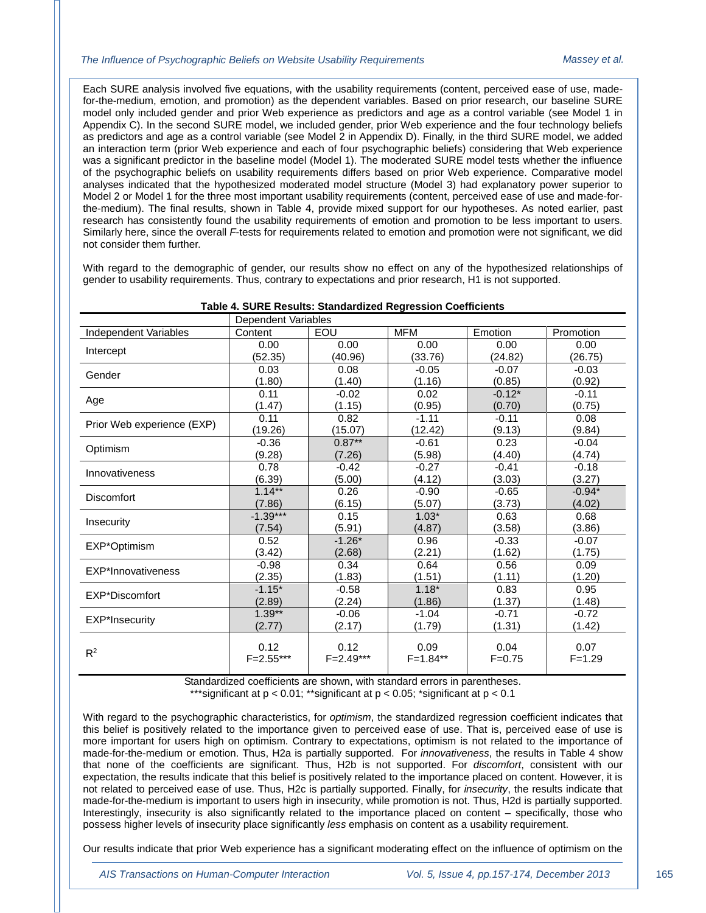Each SURE analysis involved five equations, with the usability requirements (content, perceived ease of use, madefor-the-medium, emotion, and promotion) as the dependent variables. Based on prior research, our baseline SURE model only included gender and prior Web experience as predictors and age as a control variable (see Model 1 in Appendix C). In the second SURE model, we included gender, prior Web experience and the four technology beliefs as predictors and age as a control variable (see Model 2 in Appendix D). Finally, in the third SURE model, we added an interaction term (prior Web experience and each of four psychographic beliefs) considering that Web experience was a significant predictor in the baseline model (Model 1). The moderated SURE model tests whether the influence of the psychographic beliefs on usability requirements differs based on prior Web experience. Comparative model analyses indicated that the hypothesized moderated model structure (Model 3) had explanatory power superior to Model 2 or Model 1 for the three most important usability requirements (content, perceived ease of use and made-forthe-medium). The final results, shown in Table 4, provide mixed support for our hypotheses. As noted earlier, past research has consistently found the usability requirements of emotion and promotion to be less important to users. Similarly here, since the overall *F*-tests for requirements related to emotion and promotion were not significant, we did not consider them further.

With regard to the demographic of gender, our results show no effect on any of the hypothesized relationships of gender to usability requirements. Thus, contrary to expectations and prior research, H1 is not supported.

|                            | Dependent Variables |             |              |            |            |
|----------------------------|---------------------|-------------|--------------|------------|------------|
| Independent Variables      | Content             | EOU         | <b>MFM</b>   | Emotion    | Promotion  |
| Intercept                  | 0.00                | 0.00        | 0.00         | 0.00       | 0.00       |
|                            | (52.35)             | (40.96)     | (33.76)      | (24.82)    | (26.75)    |
| Gender                     | 0.03                | 0.08        | $-0.05$      | $-0.07$    | $-0.03$    |
|                            | (1.80)              | (1.40)      | (1.16)       | (0.85)     | (0.92)     |
| Age                        | 0.11                | $-0.02$     | 0.02         | $-0.12*$   | $-0.11$    |
|                            | (1.47)              | (1.15)      | (0.95)       | (0.70)     | (0.75)     |
| Prior Web experience (EXP) | 0.11                | 0.82        | $-1.11$      | $-0.11$    | 0.08       |
|                            | (19.26)             | (15.07)     | (12.42)      | (9.13)     | (9.84)     |
| Optimism                   | $-0.36$             | $0.87***$   | $-0.61$      | 0.23       | $-0.04$    |
|                            | (9.28)              | (7.26)      | (5.98)       | (4.40)     | (4.74)     |
| Innovativeness             | 0.78                | $-0.42$     | $-0.27$      | $-0.41$    | $-0.18$    |
|                            | (6.39)              | (5.00)      | (4.12)       | (3.03)     | (3.27)     |
| <b>Discomfort</b>          | $1.14***$           | 0.26        | $-0.90$      | $-0.65$    | $-0.94*$   |
|                            | (7.86)              | (6.15)      | (5.07)       | (3.73)     | (4.02)     |
| Insecurity                 | $-1.39***$          | 0.15        | $1.03*$      | 0.63       | 0.68       |
|                            | (7.54)              | (5.91)      | (4.87)       | (3.58)     | (3.86)     |
| EXP*Optimism               | 0.52                | $-1.26*$    | 0.96         | $-0.33$    | $-0.07$    |
|                            | (3.42)              | (2.68)      | (2.21)       | (1.62)     | (1.75)     |
| EXP*Innovativeness         | $-0.98$             | 0.34        | 0.64         | 0.56       | 0.09       |
|                            | (2.35)              | (1.83)      | (1.51)       | (1.11)     | (1.20)     |
| EXP*Discomfort             | $-1.15*$            | $-0.58$     | $1.18*$      | 0.83       | 0.95       |
|                            | (2.89)              | (2.24)      | (1.86)       | (1.37)     | (1.48)     |
| <b>EXP*Insecurity</b>      | $1.39**$            | $-0.06$     | $-1.04$      | $-0.71$    | $-0.72$    |
|                            | (2.77)              | (2.17)      | (1.79)       | (1.31)     | (1.42)     |
|                            |                     |             |              |            |            |
| $R^2$                      | 0.12                | 0.12        | 0.09         | 0.04       | 0.07       |
|                            | F=2.55***           | $F=2.49***$ | $F = 1.84**$ | $F = 0.75$ | $F = 1.29$ |

**Table 4. SURE Results: Standardized Regression Coefficients**

Standardized coefficients are shown, with standard errors in parentheses.

\*\*\*significant at  $p < 0.01$ ; \*\*significant at  $p < 0.05$ ; \*significant at  $p < 0.1$ 

With regard to the psychographic characteristics, for *optimism*, the standardized regression coefficient indicates that this belief is positively related to the importance given to perceived ease of use. That is, perceived ease of use is more important for users high on optimism. Contrary to expectations, optimism is not related to the importance of made-for-the-medium or emotion. Thus, H2a is partially supported. For *innovativeness*, the results in Table 4 show that none of the coefficients are significant. Thus, H2b is not supported. For *discomfort*, consistent with our expectation, the results indicate that this belief is positively related to the importance placed on content. However, it is not related to perceived ease of use. Thus, H2c is partially supported. Finally, for *insecurity*, the results indicate that made-for-the-medium is important to users high in insecurity, while promotion is not. Thus, H2d is partially supported. Interestingly, insecurity is also significantly related to the importance placed on content – specifically, those who possess higher levels of insecurity place significantly *less* emphasis on content as a usability requirement.

Our results indicate that prior Web experience has a significant moderating effect on the influence of optimism on the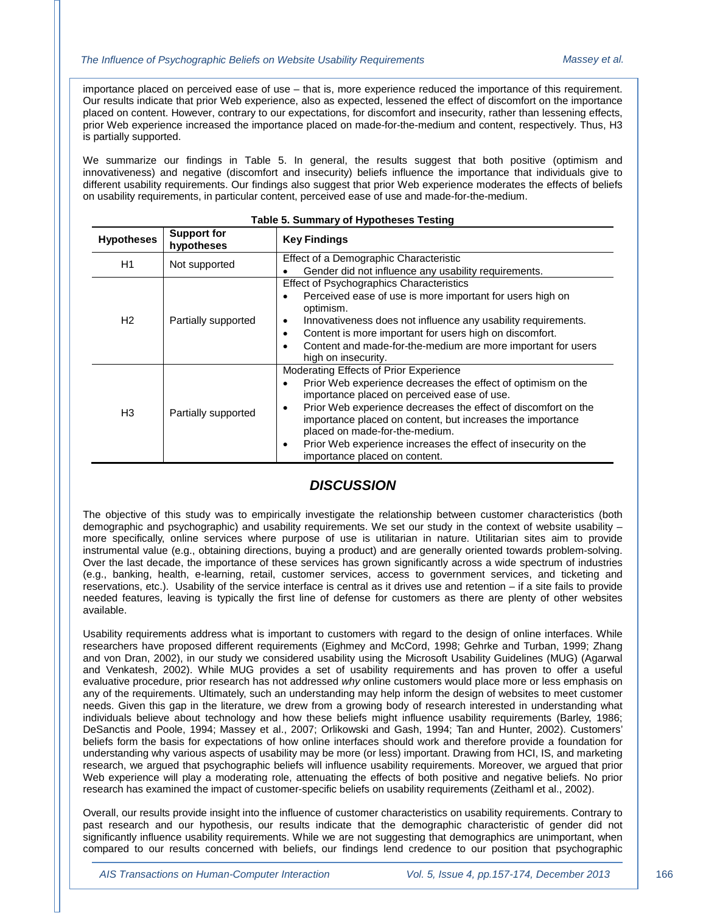importance placed on perceived ease of use – that is, more experience reduced the importance of this requirement. Our results indicate that prior Web experience, also as expected, lessened the effect of discomfort on the importance placed on content. However, contrary to our expectations, for discomfort and insecurity, rather than lessening effects, prior Web experience increased the importance placed on made-for-the-medium and content, respectively. Thus, H3 is partially supported.

We summarize our findings in Table 5. In general, the results suggest that both positive (optimism and innovativeness) and negative (discomfort and insecurity) beliefs influence the importance that individuals give to different usability requirements. Our findings also suggest that prior Web experience moderates the effects of beliefs on usability requirements, in particular content, perceived ease of use and made-for-the-medium.

| <b>Hypotheses</b> | <b>Support for</b><br>hypotheses | <b>Key Findings</b>                                                                                                                                                                                                                                                                                                                                                                                                                               |  |  |  |
|-------------------|----------------------------------|---------------------------------------------------------------------------------------------------------------------------------------------------------------------------------------------------------------------------------------------------------------------------------------------------------------------------------------------------------------------------------------------------------------------------------------------------|--|--|--|
| H1                | Not supported                    | Effect of a Demographic Characteristic<br>Gender did not influence any usability requirements.                                                                                                                                                                                                                                                                                                                                                    |  |  |  |
| H <sub>2</sub>    | Partially supported              | <b>Effect of Psychographics Characteristics</b><br>Perceived ease of use is more important for users high on<br>٠<br>optimism.<br>Innovativeness does not influence any usability requirements.<br>$\bullet$<br>Content is more important for users high on discomfort.<br>$\bullet$<br>Content and made-for-the-medium are more important for users<br>high on insecurity.                                                                       |  |  |  |
| H <sub>3</sub>    | Partially supported              | Moderating Effects of Prior Experience<br>Prior Web experience decreases the effect of optimism on the<br>$\bullet$<br>importance placed on perceived ease of use.<br>Prior Web experience decreases the effect of discomfort on the<br>٠<br>importance placed on content, but increases the importance<br>placed on made-for-the-medium.<br>Prior Web experience increases the effect of insecurity on the<br>٠<br>importance placed on content. |  |  |  |

#### **Table 5. Summary of Hypotheses Testing**

#### *DISCUSSION*

The objective of this study was to empirically investigate the relationship between customer characteristics (both demographic and psychographic) and usability requirements. We set our study in the context of website usability – more specifically, online services where purpose of use is utilitarian in nature. Utilitarian sites aim to provide instrumental value (e.g., obtaining directions, buying a product) and are generally oriented towards problem-solving. Over the last decade, the importance of these services has grown significantly across a wide spectrum of industries (e.g., banking, health, e-learning, retail, customer services, access to government services, and ticketing and reservations, etc.). Usability of the service interface is central as it drives use and retention – if a site fails to provide needed features, leaving is typically the first line of defense for customers as there are plenty of other websites available.

Usability requirements address what is important to customers with regard to the design of online interfaces. While researchers have proposed different requirements (Eighmey and McCord, 1998; Gehrke and Turban, 1999; Zhang and von Dran, 2002), in our study we considered usability using the Microsoft Usability Guidelines (MUG) (Agarwal and Venkatesh, 2002). While MUG provides a set of usability requirements and has proven to offer a useful evaluative procedure, prior research has not addressed *why* online customers would place more or less emphasis on any of the requirements. Ultimately, such an understanding may help inform the design of websites to meet customer needs. Given this gap in the literature, we drew from a growing body of research interested in understanding what individuals believe about technology and how these beliefs might influence usability requirements (Barley, 1986; DeSanctis and Poole, 1994; Massey et al., 2007; Orlikowski and Gash, 1994; Tan and Hunter, 2002). Customers' beliefs form the basis for expectations of how online interfaces should work and therefore provide a foundation for understanding why various aspects of usability may be more (or less) important. Drawing from HCI, IS, and marketing research, we argued that psychographic beliefs will influence usability requirements. Moreover, we argued that prior Web experience will play a moderating role, attenuating the effects of both positive and negative beliefs. No prior research has examined the impact of customer-specific beliefs on usability requirements (Zeithaml et al., 2002).

Overall, our results provide insight into the influence of customer characteristics on usability requirements. Contrary to past research and our hypothesis, our results indicate that the demographic characteristic of gender did not significantly influence usability requirements. While we are not suggesting that demographics are unimportant, when compared to our results concerned with beliefs, our findings lend credence to our position that psychographic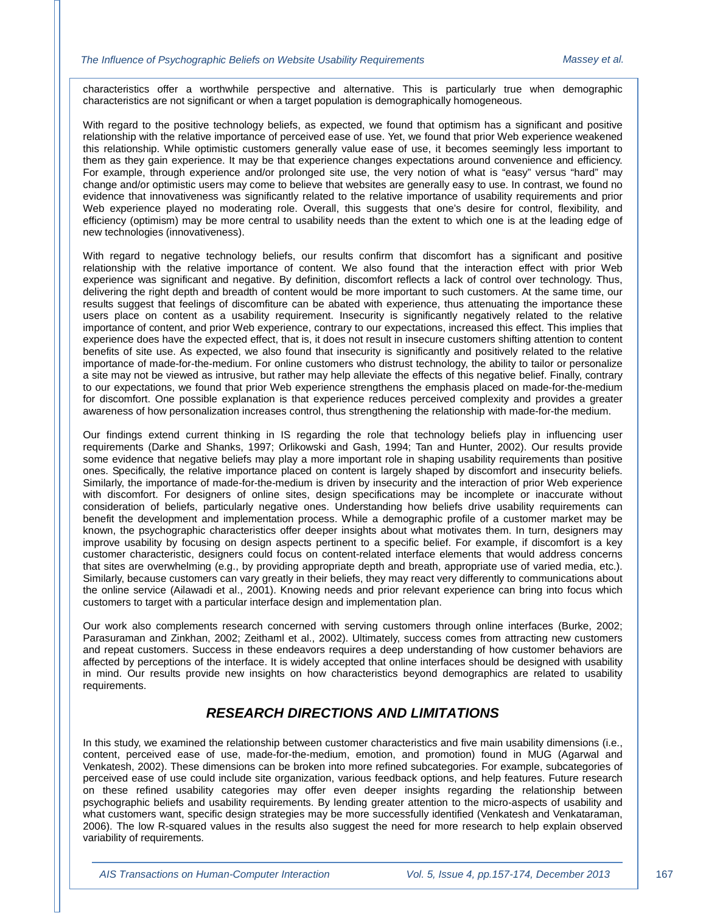characteristics offer a worthwhile perspective and alternative. This is particularly true when demographic characteristics are not significant or when a target population is demographically homogeneous.

With regard to the positive technology beliefs, as expected, we found that optimism has a significant and positive relationship with the relative importance of perceived ease of use. Yet, we found that prior Web experience weakened this relationship. While optimistic customers generally value ease of use, it becomes seemingly less important to them as they gain experience. It may be that experience changes expectations around convenience and efficiency. For example, through experience and/or prolonged site use, the very notion of what is "easy" versus "hard" may change and/or optimistic users may come to believe that websites are generally easy to use. In contrast, we found no evidence that innovativeness was significantly related to the relative importance of usability requirements and prior Web experience played no moderating role. Overall, this suggests that one's desire for control, flexibility, and efficiency (optimism) may be more central to usability needs than the extent to which one is at the leading edge of new technologies (innovativeness).

With regard to negative technology beliefs, our results confirm that discomfort has a significant and positive relationship with the relative importance of content. We also found that the interaction effect with prior Web experience was significant and negative. By definition, discomfort reflects a lack of control over technology. Thus, delivering the right depth and breadth of content would be more important to such customers. At the same time, our results suggest that feelings of discomfiture can be abated with experience, thus attenuating the importance these users place on content as a usability requirement. Insecurity is significantly negatively related to the relative importance of content, and prior Web experience, contrary to our expectations, increased this effect. This implies that experience does have the expected effect, that is, it does not result in insecure customers shifting attention to content benefits of site use. As expected, we also found that insecurity is significantly and positively related to the relative importance of made-for-the-medium. For online customers who distrust technology, the ability to tailor or personalize a site may not be viewed as intrusive, but rather may help alleviate the effects of this negative belief. Finally, contrary to our expectations, we found that prior Web experience strengthens the emphasis placed on made-for-the-medium for discomfort. One possible explanation is that experience reduces perceived complexity and provides a greater awareness of how personalization increases control, thus strengthening the relationship with made-for-the medium.

Our findings extend current thinking in IS regarding the role that technology beliefs play in influencing user requirements (Darke and Shanks, 1997; Orlikowski and Gash, 1994; Tan and Hunter, 2002). Our results provide some evidence that negative beliefs may play a more important role in shaping usability requirements than positive ones. Specifically, the relative importance placed on content is largely shaped by discomfort and insecurity beliefs. Similarly, the importance of made-for-the-medium is driven by insecurity and the interaction of prior Web experience with discomfort. For designers of online sites, design specifications may be incomplete or inaccurate without consideration of beliefs, particularly negative ones. Understanding how beliefs drive usability requirements can benefit the development and implementation process. While a demographic profile of a customer market may be known, the psychographic characteristics offer deeper insights about what motivates them. In turn, designers may improve usability by focusing on design aspects pertinent to a specific belief. For example, if discomfort is a key customer characteristic, designers could focus on content-related interface elements that would address concerns that sites are overwhelming (e.g., by providing appropriate depth and breath, appropriate use of varied media, etc.). Similarly, because customers can vary greatly in their beliefs, they may react very differently to communications about the online service (Ailawadi et al., 2001). Knowing needs and prior relevant experience can bring into focus which customers to target with a particular interface design and implementation plan.

Our work also complements research concerned with serving customers through online interfaces (Burke, 2002; Parasuraman and Zinkhan, 2002; Zeithaml et al., 2002). Ultimately, success comes from attracting new customers and repeat customers. Success in these endeavors requires a deep understanding of how customer behaviors are affected by perceptions of the interface. It is widely accepted that online interfaces should be designed with usability in mind. Our results provide new insights on how characteristics beyond demographics are related to usability requirements.

#### *RESEARCH DIRECTIONS AND LIMITATIONS*

In this study, we examined the relationship between customer characteristics and five main usability dimensions (i.e., content, perceived ease of use, made-for-the-medium, emotion, and promotion) found in MUG (Agarwal and Venkatesh, 2002). These dimensions can be broken into more refined subcategories. For example, subcategories of perceived ease of use could include site organization, various feedback options, and help features. Future research on these refined usability categories may offer even deeper insights regarding the relationship between psychographic beliefs and usability requirements. By lending greater attention to the micro-aspects of usability and what customers want, specific design strategies may be more successfully identified (Venkatesh and Venkataraman, 2006). The low R-squared values in the results also suggest the need for more research to help explain observed variability of requirements.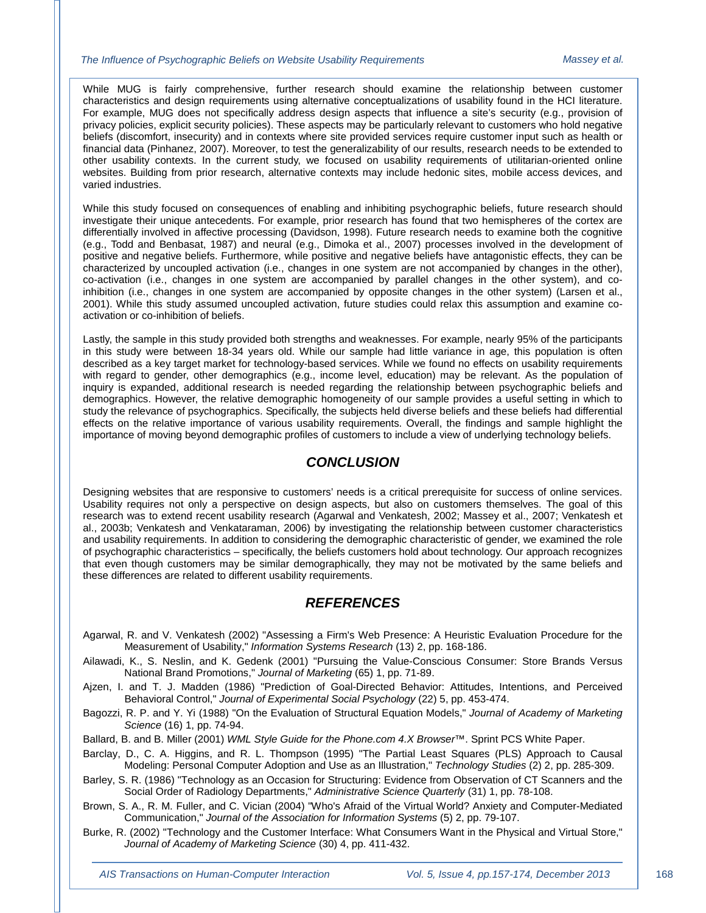While MUG is fairly comprehensive, further research should examine the relationship between customer characteristics and design requirements using alternative conceptualizations of usability found in the HCI literature. For example, MUG does not specifically address design aspects that influence a site's security (e.g., provision of privacy policies, explicit security policies). These aspects may be particularly relevant to customers who hold negative beliefs (discomfort, insecurity) and in contexts where site provided services require customer input such as health or financial data (Pinhanez, 2007). Moreover, to test the generalizability of our results, research needs to be extended to other usability contexts. In the current study, we focused on usability requirements of utilitarian-oriented online websites. Building from prior research, alternative contexts may include hedonic sites, mobile access devices, and varied industries.

While this study focused on consequences of enabling and inhibiting psychographic beliefs, future research should investigate their unique antecedents. For example, prior research has found that two hemispheres of the cortex are differentially involved in affective processing (Davidson, 1998). Future research needs to examine both the cognitive (e.g., Todd and Benbasat, 1987) and neural (e.g., Dimoka et al., 2007) processes involved in the development of positive and negative beliefs. Furthermore, while positive and negative beliefs have antagonistic effects, they can be characterized by uncoupled activation (i.e., changes in one system are not accompanied by changes in the other), co-activation (i.e., changes in one system are accompanied by parallel changes in the other system), and coinhibition (i.e., changes in one system are accompanied by opposite changes in the other system) (Larsen et al., 2001). While this study assumed uncoupled activation, future studies could relax this assumption and examine coactivation or co-inhibition of beliefs.

Lastly, the sample in this study provided both strengths and weaknesses. For example, nearly 95% of the participants in this study were between 18-34 years old. While our sample had little variance in age, this population is often described as a key target market for technology-based services. While we found no effects on usability requirements with regard to gender, other demographics (e.g., income level, education) may be relevant. As the population of inquiry is expanded, additional research is needed regarding the relationship between psychographic beliefs and demographics. However, the relative demographic homogeneity of our sample provides a useful setting in which to study the relevance of psychographics. Specifically, the subjects held diverse beliefs and these beliefs had differential effects on the relative importance of various usability requirements. Overall, the findings and sample highlight the importance of moving beyond demographic profiles of customers to include a view of underlying technology beliefs.

#### *CONCLUSION*

Designing websites that are responsive to customers' needs is a critical prerequisite for success of online services. Usability requires not only a perspective on design aspects, but also on customers themselves. The goal of this research was to extend recent usability research (Agarwal and Venkatesh, 2002; Massey et al., 2007; Venkatesh et al., 2003b; Venkatesh and Venkataraman, 2006) by investigating the relationship between customer characteristics and usability requirements. In addition to considering the demographic characteristic of gender, we examined the role of psychographic characteristics – specifically, the beliefs customers hold about technology. Our approach recognizes that even though customers may be similar demographically, they may not be motivated by the same beliefs and these differences are related to different usability requirements.

### *REFERENCES*

- Agarwal, R. and V. Venkatesh (2002) "Assessing a Firm's Web Presence: A Heuristic Evaluation Procedure for the Measurement of Usability," *Information Systems Research* (13) 2, pp. 168-186.
- Ailawadi, K., S. Neslin, and K. Gedenk (2001) "Pursuing the Value-Conscious Consumer: Store Brands Versus National Brand Promotions," *Journal of Marketing* (65) 1, pp. 71-89.
- Ajzen, I. and T. J. Madden (1986) "Prediction of Goal-Directed Behavior: Attitudes, Intentions, and Perceived Behavioral Control," *Journal of Experimental Social Psychology* (22) 5, pp. 453-474.
- Bagozzi, R. P. and Y. Yi (1988) "On the Evaluation of Structural Equation Models," *Journal of Academy of Marketing Science* (16) 1, pp. 74-94.
- Ballard, B. and B. Miller (2001) *WML Style Guide for the Phone.com 4.X Browser™*. Sprint PCS White Paper.
- Barclay, D., C. A. Higgins, and R. L. Thompson (1995) "The Partial Least Squares (PLS) Approach to Causal Modeling: Personal Computer Adoption and Use as an Illustration," *Technology Studies* (2) 2, pp. 285-309.
- Barley, S. R. (1986) "Technology as an Occasion for Structuring: Evidence from Observation of CT Scanners and the Social Order of Radiology Departments," *Administrative Science Quarterly* (31) 1, pp. 78-108.
- Brown, S. A., R. M. Fuller, and C. Vician (2004) "Who's Afraid of the Virtual World? Anxiety and Computer-Mediated Communication," *Journal of the Association for Information Systems* (5) 2, pp. 79-107.
- Burke, R. (2002) "Technology and the Customer Interface: What Consumers Want in the Physical and Virtual Store," *Journal of Academy of Marketing Science* (30) 4, pp. 411-432.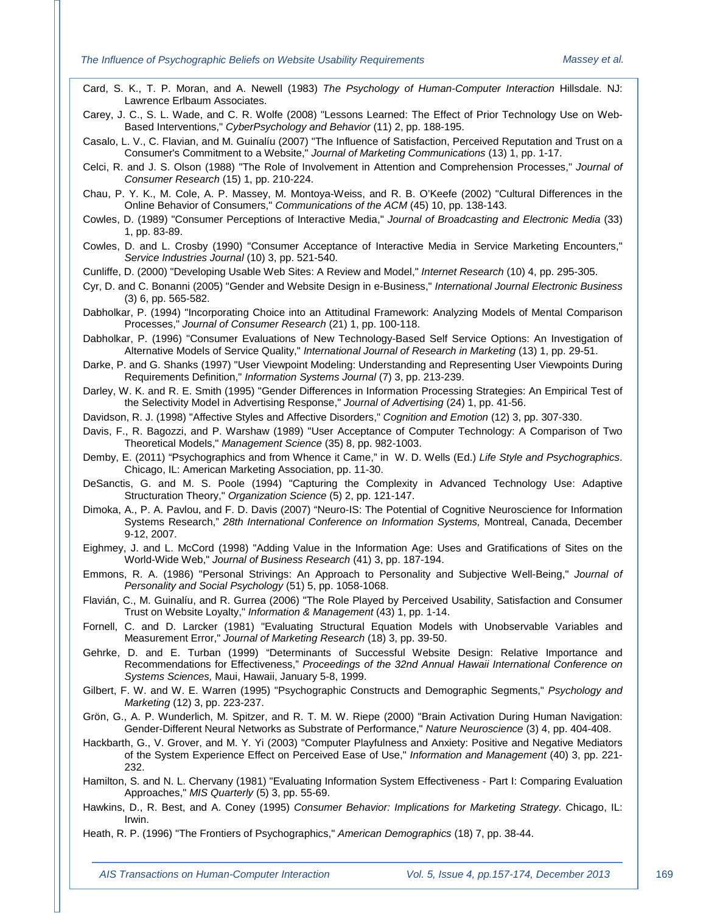Card, S. K., T. P. Moran, and A. Newell (1983) *The Psychology of Human-Computer Interaction* Hillsdale. NJ: Lawrence Erlbaum Associates.

Carey, J. C., S. L. Wade, and C. R. Wolfe (2008) "Lessons Learned: The Effect of Prior Technology Use on Web-Based Interventions," *CyberPsychology and Behavior* (11) 2, pp. 188-195.

Casalo, L. V., C. Flavian, and M. Guinalíu (2007) "The Influence of Satisfaction, Perceived Reputation and Trust on a Consumer's Commitment to a Website," *Journal of Marketing Communications* (13) 1, pp. 1-17.

Celci, R. and J. S. Olson (1988) "The Role of Involvement in Attention and Comprehension Processes," *Journal of Consumer Research* (15) 1, pp. 210-224.

Chau, P. Y. K., M. Cole, A. P. Massey, M. Montoya-Weiss, and R. B. O'Keefe (2002) "Cultural Differences in the Online Behavior of Consumers," *Communications of the ACM* (45) 10, pp. 138-143.

Cowles, D. (1989) "Consumer Perceptions of Interactive Media," *Journal of Broadcasting and Electronic Media* (33) 1, pp. 83-89.

Cowles, D. and L. Crosby (1990) "Consumer Acceptance of Interactive Media in Service Marketing Encounters," *Service Industries Journal* (10) 3, pp. 521-540.

Cunliffe, D. (2000) "Developing Usable Web Sites: A Review and Model," *Internet Research* (10) 4, pp. 295-305.

Cyr, D. and C. Bonanni (2005) "Gender and Website Design in e-Business," *International Journal Electronic Business*  (3) 6, pp. 565-582.

Dabholkar, P. (1994) "Incorporating Choice into an Attitudinal Framework: Analyzing Models of Mental Comparison Processes," *Journal of Consumer Research* (21) 1, pp. 100-118.

Dabholkar, P. (1996) "Consumer Evaluations of New Technology-Based Self Service Options: An Investigation of Alternative Models of Service Quality," *International Journal of Research in Marketing* (13) 1, pp. 29-51.

Darke, P. and G. Shanks (1997) "User Viewpoint Modeling: Understanding and Representing User Viewpoints During Requirements Definition," *Information Systems Journal* (7) 3, pp. 213-239.

Darley, W. K. and R. E. Smith (1995) "Gender Differences in Information Processing Strategies: An Empirical Test of the Selectivity Model in Advertising Response," *Journal of Advertising* (24) 1, pp. 41-56.

Davidson, R. J. (1998) "Affective Styles and Affective Disorders," *Cognition and Emotion* (12) 3, pp. 307-330.

- Davis, F., R. Bagozzi, and P. Warshaw (1989) "User Acceptance of Computer Technology: A Comparison of Two Theoretical Models," *Management Science* (35) 8, pp. 982-1003.
- Demby, E. (2011) "Psychographics and from Whence it Came," in W. D. Wells (Ed.) *Life Style and Psychographics*. Chicago, IL: American Marketing Association, pp. 11-30.
- DeSanctis, G. and M. S. Poole (1994) "Capturing the Complexity in Advanced Technology Use: Adaptive Structuration Theory," *Organization Science* (5) 2, pp. 121-147.
- Dimoka, A., P. A. Pavlou, and F. D. Davis (2007) "Neuro-IS: The Potential of Cognitive Neuroscience for Information Systems Research," *28th International Conference on Information Systems,* Montreal, Canada, December 9-12, 2007.

Eighmey, J. and L. McCord (1998) "Adding Value in the Information Age: Uses and Gratifications of Sites on the World-Wide Web," *Journal of Business Research* (41) 3, pp. 187-194.

- Emmons, R. A. (1986) "Personal Strivings: An Approach to Personality and Subjective Well-Being," *Journal of Personality and Social Psychology* (51) 5, pp. 1058-1068.
- Flavián, C., M. Guinalíu, and R. Gurrea (2006) "The Role Played by Perceived Usability, Satisfaction and Consumer Trust on Website Loyalty," *Information & Management* (43) 1, pp. 1-14.

Fornell, C. and D. Larcker (1981) "Evaluating Structural Equation Models with Unobservable Variables and Measurement Error," *Journal of Marketing Research* (18) 3, pp. 39-50.

Gehrke, D. and E. Turban (1999) "Determinants of Successful Website Design: Relative Importance and Recommendations for Effectiveness," *Proceedings of the 32nd Annual Hawaii International Conference on Systems Sciences,* Maui, Hawaii, January 5-8, 1999.

Gilbert, F. W. and W. E. Warren (1995) "Psychographic Constructs and Demographic Segments," *Psychology and Marketing* (12) 3, pp. 223-237.

Grön, G., A. P. Wunderlich, M. Spitzer, and R. T. M. W. Riepe (2000) "Brain Activation During Human Navigation: Gender-Different Neural Networks as Substrate of Performance," *Nature Neuroscience* (3) 4, pp. 404-408.

Hackbarth, G., V. Grover, and M. Y. Yi (2003) "Computer Playfulness and Anxiety: Positive and Negative Mediators of the System Experience Effect on Perceived Ease of Use," *Information and Management* (40) 3, pp. 221- 232.

Hamilton, S. and N. L. Chervany (1981) "Evaluating Information System Effectiveness - Part I: Comparing Evaluation Approaches," *MIS Quarterly* (5) 3, pp. 55-69.

Hawkins, D., R. Best, and A. Coney (1995) *Consumer Behavior: Implications for Marketing Strategy*. Chicago, IL: Irwin.

Heath, R. P. (1996) "The Frontiers of Psychographics," *American Demographics* (18) 7, pp. 38-44.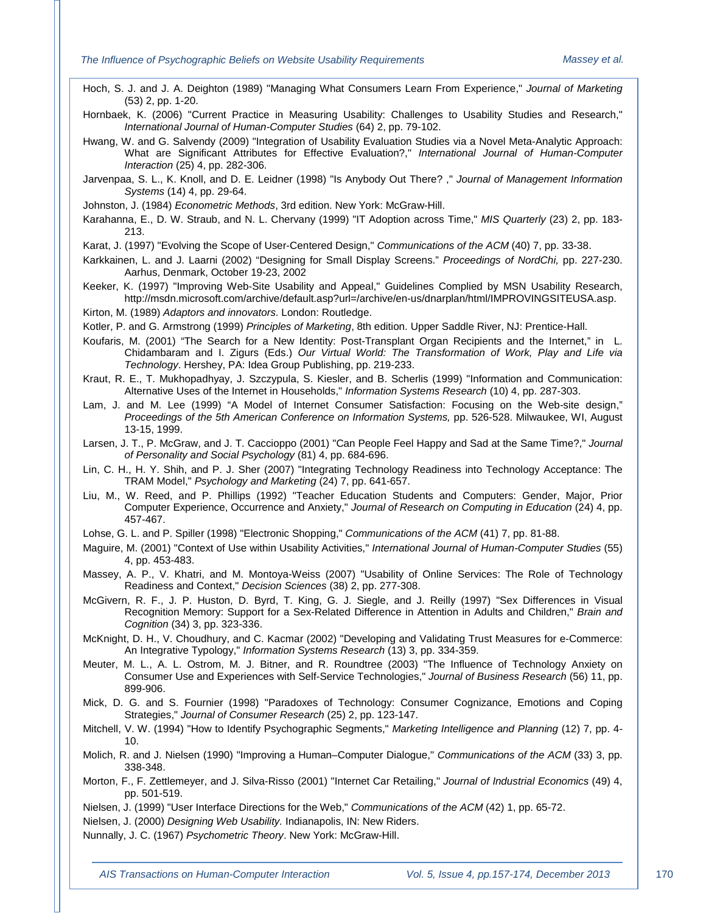Hoch, S. J. and J. A. Deighton (1989) "Managing What Consumers Learn From Experience," *Journal of Marketing*  (53) 2, pp. 1-20.

Hornbaek, K. (2006) "Current Practice in Measuring Usability: Challenges to Usability Studies and Research," *International Journal of Human-Computer Studies* (64) 2, pp. 79-102.

Hwang, W. and G. Salvendy (2009) "Integration of Usability Evaluation Studies via a Novel Meta-Analytic Approach: What are Significant Attributes for Effective Evaluation?," *International Journal of Human-Computer Interaction* (25) 4, pp. 282-306.

Jarvenpaa, S. L., K. Knoll, and D. E. Leidner (1998) "Is Anybody Out There? ," *Journal of Management Information Systems* (14) 4, pp. 29-64.

Johnston, J. (1984) *Econometric Methods*, 3rd edition. New York: McGraw-Hill.

Karahanna, E., D. W. Straub, and N. L. Chervany (1999) "IT Adoption across Time," *MIS Quarterly* (23) 2, pp. 183- 213.

Karat, J. (1997) "Evolving the Scope of User-Centered Design," *Communications of the ACM* (40) 7, pp. 33-38.

Karkkainen, L. and J. Laarni (2002) "Designing for Small Display Screens." *Proceedings of NordChi,* pp. 227-230. Aarhus, Denmark, October 19-23, 2002

Keeker, K. (1997) "Improving Web-Site Usability and Appeal," Guidelines Complied by MSN Usability Research, http://msdn.microsoft.com/archive/default.asp?url=/archive/en-us/dnarplan/html/IMPROVINGSITEUSA.asp.

Kirton, M. (1989) *Adaptors and innovators*. London: Routledge.

Kotler, P. and G. Armstrong (1999) *Principles of Marketing*, 8th edition. Upper Saddle River, NJ: Prentice-Hall.

Koufaris, M. (2001) "The Search for a New Identity: Post-Transplant Organ Recipients and the Internet," in L. Chidambaram and I. Zigurs (Eds.) *Our Virtual World: The Transformation of Work, Play and Life via Technology*. Hershey, PA: Idea Group Publishing, pp. 219-233.

Kraut, R. E., T. Mukhopadhyay, J. Szczypula, S. Kiesler, and B. Scherlis (1999) "Information and Communication: Alternative Uses of the Internet in Households," *Information Systems Research* (10) 4, pp. 287-303.

Lam, J. and M. Lee (1999) "A Model of Internet Consumer Satisfaction: Focusing on the Web-site design," *Proceedings of the 5th American Conference on Information Systems,* pp. 526-528. Milwaukee, WI, August 13-15, 1999.

Larsen, J. T., P. McGraw, and J. T. Caccioppo (2001) "Can People Feel Happy and Sad at the Same Time?," *Journal of Personality and Social Psychology* (81) 4, pp. 684-696.

Lin, C. H., H. Y. Shih, and P. J. Sher (2007) "Integrating Technology Readiness into Technology Acceptance: The TRAM Model," *Psychology and Marketing* (24) 7, pp. 641-657.

Liu, M., W. Reed, and P. Phillips (1992) "Teacher Education Students and Computers: Gender, Major, Prior Computer Experience, Occurrence and Anxiety," *Journal of Research on Computing in Education* (24) 4, pp. 457-467.

Lohse, G. L. and P. Spiller (1998) "Electronic Shopping," *Communications of the ACM* (41) 7, pp. 81-88.

- Maguire, M. (2001) "Context of Use within Usability Activities," *International Journal of Human-Computer Studies* (55) 4, pp. 453-483.
- Massey, A. P., V. Khatri, and M. Montoya-Weiss (2007) "Usability of Online Services: The Role of Technology Readiness and Context," *Decision Sciences* (38) 2, pp. 277-308.
- McGivern, R. F., J. P. Huston, D. Byrd, T. King, G. J. Siegle, and J. Reilly (1997) "Sex Differences in Visual Recognition Memory: Support for a Sex-Related Difference in Attention in Adults and Children," *Brain and Cognition* (34) 3, pp. 323-336.

McKnight, D. H., V. Choudhury, and C. Kacmar (2002) "Developing and Validating Trust Measures for e-Commerce: An Integrative Typology," *Information Systems Research* (13) 3, pp. 334-359.

Meuter, M. L., A. L. Ostrom, M. J. Bitner, and R. Roundtree (2003) "The Influence of Technology Anxiety on Consumer Use and Experiences with Self-Service Technologies," *Journal of Business Research* (56) 11, pp. 899-906.

Mick, D. G. and S. Fournier (1998) "Paradoxes of Technology: Consumer Cognizance, Emotions and Coping Strategies," *Journal of Consumer Research* (25) 2, pp. 123-147.

Mitchell, V. W. (1994) "How to Identify Psychographic Segments," *Marketing Intelligence and Planning* (12) 7, pp. 4- 10.

Molich, R. and J. Nielsen (1990) "Improving a Human–Computer Dialogue," *Communications of the ACM* (33) 3, pp. 338-348.

Morton, F., F. Zettlemeyer, and J. Silva-Risso (2001) "Internet Car Retailing," *Journal of Industrial Economics* (49) 4, pp. 501-519.

Nielsen, J. (1999) "User Interface Directions for the Web," *Communications of the ACM* (42) 1, pp. 65-72.

Nielsen, J. (2000) *Designing Web Usability.* Indianapolis, IN: New Riders.

Nunnally, J. C. (1967) *Psychometric Theory*. New York: McGraw-Hill.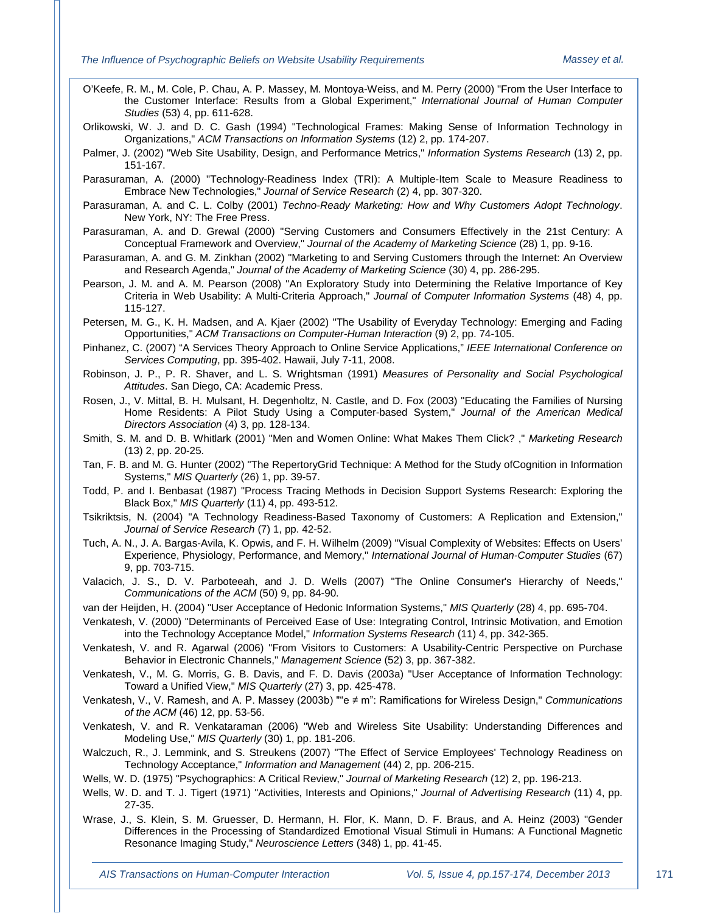- O'Keefe, R. M., M. Cole, P. Chau, A. P. Massey, M. Montoya-Weiss, and M. Perry (2000) "From the User Interface to the Customer Interface: Results from a Global Experiment," *International Journal of Human Computer Studies* (53) 4, pp. 611-628.
- Orlikowski, W. J. and D. C. Gash (1994) "Technological Frames: Making Sense of Information Technology in Organizations," *ACM Transactions on Information Systems* (12) 2, pp. 174-207.
- Palmer, J. (2002) "Web Site Usability, Design, and Performance Metrics," *Information Systems Research* (13) 2, pp. 151-167.
- Parasuraman, A. (2000) "Technology-Readiness Index (TRI): A Multiple-Item Scale to Measure Readiness to Embrace New Technologies," *Journal of Service Research* (2) 4, pp. 307-320.
- Parasuraman, A. and C. L. Colby (2001) *Techno-Ready Marketing: How and Why Customers Adopt Technology*. New York, NY: The Free Press.
- Parasuraman, A. and D. Grewal (2000) "Serving Customers and Consumers Effectively in the 21st Century: A Conceptual Framework and Overview," *Journal of the Academy of Marketing Science* (28) 1, pp. 9-16.
- Parasuraman, A. and G. M. Zinkhan (2002) "Marketing to and Serving Customers through the Internet: An Overview and Research Agenda," *Journal of the Academy of Marketing Science* (30) 4, pp. 286-295.
- Pearson, J. M. and A. M. Pearson (2008) "An Exploratory Study into Determining the Relative Importance of Key Criteria in Web Usability: A Multi-Criteria Approach," *Journal of Computer Information Systems* (48) 4, pp. 115-127.
- Petersen, M. G., K. H. Madsen, and A. Kjaer (2002) "The Usability of Everyday Technology: Emerging and Fading Opportunities," *ACM Transactions on Computer-Human Interaction* (9) 2, pp. 74-105.
- Pinhanez, C. (2007) "A Services Theory Approach to Online Service Applications," *IEEE International Conference on Services Computing*, pp. 395-402. Hawaii, July 7-11, 2008.
- Robinson, J. P., P. R. Shaver, and L. S. Wrightsman (1991) *Measures of Personality and Social Psychological Attitudes*. San Diego, CA: Academic Press.
- Rosen, J., V. Mittal, B. H. Mulsant, H. Degenholtz, N. Castle, and D. Fox (2003) "Educating the Families of Nursing Home Residents: A Pilot Study Using a Computer-based System," *Journal of the American Medical Directors Association* (4) 3, pp. 128-134.
- Smith, S. M. and D. B. Whitlark (2001) "Men and Women Online: What Makes Them Click? ," *Marketing Research* (13) 2, pp. 20-25.
- Tan, F. B. and M. G. Hunter (2002) "The RepertoryGrid Technique: A Method for the Study ofCognition in Information Systems," *MIS Quarterly* (26) 1, pp. 39-57.
- Todd, P. and I. Benbasat (1987) "Process Tracing Methods in Decision Support Systems Research: Exploring the Black Box," *MIS Quarterly* (11) 4, pp. 493-512.
- Tsikriktsis, N. (2004) "A Technology Readiness-Based Taxonomy of Customers: A Replication and Extension," *Journal of Service Research* (7) 1, pp. 42-52.
- Tuch, A. N., J. A. Bargas-Avila, K. Opwis, and F. H. Wilhelm (2009) "Visual Complexity of Websites: Effects on Users' Experience, Physiology, Performance, and Memory," *International Journal of Human-Computer Studies* (67) 9, pp. 703-715.
- Valacich, J. S., D. V. Parboteeah, and J. D. Wells (2007) "The Online Consumer's Hierarchy of Needs," *Communications of the ACM* (50) 9, pp. 84-90.
- van der Heijden, H. (2004) "User Acceptance of Hedonic Information Systems," *MIS Quarterly* (28) 4, pp. 695-704.
- Venkatesh, V. (2000) "Determinants of Perceived Ease of Use: Integrating Control, Intrinsic Motivation, and Emotion into the Technology Acceptance Model," *Information Systems Research* (11) 4, pp. 342-365.
- Venkatesh, V. and R. Agarwal (2006) "From Visitors to Customers: A Usability-Centric Perspective on Purchase Behavior in Electronic Channels," *Management Science* (52) 3, pp. 367-382.
- Venkatesh, V., M. G. Morris, G. B. Davis, and F. D. Davis (2003a) "User Acceptance of Information Technology: Toward a Unified View," *MIS Quarterly* (27) 3, pp. 425-478.
- Venkatesh, V., V. Ramesh, and A. P. Massey (2003b) ""e ≠ m": Ramifications for Wireless Design," *Communications of the ACM* (46) 12, pp. 53-56.
- Venkatesh, V. and R. Venkataraman (2006) "Web and Wireless Site Usability: Understanding Differences and Modeling Use," *MIS Quarterly* (30) 1, pp. 181-206.
- Walczuch, R., J. Lemmink, and S. Streukens (2007) "The Effect of Service Employees' Technology Readiness on Technology Acceptance," *Information and Management* (44) 2, pp. 206-215.
- Wells, W. D. (1975) "Psychographics: A Critical Review," *Journal of Marketing Research* (12) 2, pp. 196-213.
- Wells, W. D. and T. J. Tigert (1971) "Activities, Interests and Opinions," *Journal of Advertising Research* (11) 4, pp. 27-35.
- Wrase, J., S. Klein, S. M. Gruesser, D. Hermann, H. Flor, K. Mann, D. F. Braus, and A. Heinz (2003) "Gender Differences in the Processing of Standardized Emotional Visual Stimuli in Humans: A Functional Magnetic Resonance Imaging Study," *Neuroscience Letters* (348) 1, pp. 41-45.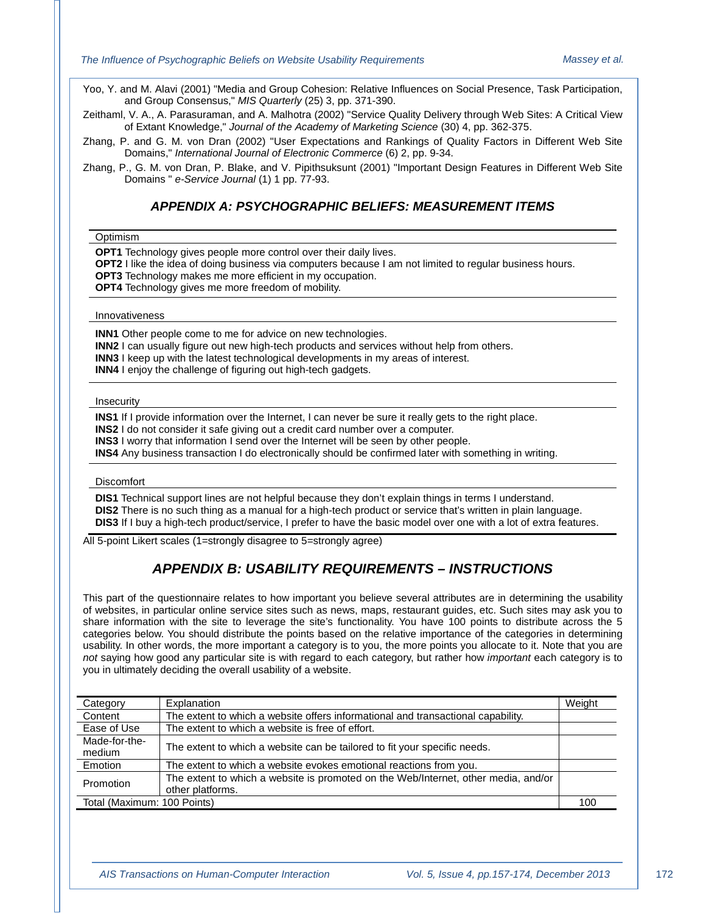Yoo, Y. and M. Alavi (2001) "Media and Group Cohesion: Relative Influences on Social Presence, Task Participation, and Group Consensus," *MIS Quarterly* (25) 3, pp. 371-390.

Zeithaml, V. A., A. Parasuraman, and A. Malhotra (2002) "Service Quality Delivery through Web Sites: A Critical View of Extant Knowledge," *Journal of the Academy of Marketing Science* (30) 4, pp. 362-375.

Zhang, P. and G. M. von Dran (2002) "User Expectations and Rankings of Quality Factors in Different Web Site Domains," *International Journal of Electronic Commerce* (6) 2, pp. 9-34.

Zhang, P., G. M. von Dran, P. Blake, and V. Pipithsuksunt (2001) "Important Design Features in Different Web Site Domains " *e-Service Journal* (1) 1 pp. 77-93.

#### *APPENDIX A: PSYCHOGRAPHIC BELIEFS: MEASUREMENT ITEMS*

#### **Optimism**

**OPT1** Technology gives people more control over their daily lives.

**OPT2** I like the idea of doing business via computers because I am not limited to regular business hours.

**OPT3** Technology makes me more efficient in my occupation.

**OPT4** Technology gives me more freedom of mobility.

#### Innovativeness

**INN1** Other people come to me for advice on new technologies.

**INN2** I can usually figure out new high-tech products and services without help from others.

**INN3** I keep up with the latest technological developments in my areas of interest.

**INN4** I enjoy the challenge of figuring out high-tech gadgets.

#### Insecurity

**INS1** If I provide information over the Internet, I can never be sure it really gets to the right place.

**INS2** I do not consider it safe giving out a credit card number over a computer.

**INS3** I worry that information I send over the Internet will be seen by other people.

**INS4** Any business transaction I do electronically should be confirmed later with something in writing.

#### **Discomfort**

**DIS1** Technical support lines are not helpful because they don't explain things in terms I understand. **DIS2** There is no such thing as a manual for a high-tech product or service that's written in plain language. **DIS3** If I buy a high-tech product/service, I prefer to have the basic model over one with a lot of extra features.

All 5-point Likert scales (1=strongly disagree to 5=strongly agree)

### *APPENDIX B: USABILITY REQUIREMENTS – INSTRUCTIONS*

This part of the questionnaire relates to how important you believe several attributes are in determining the usability of websites, in particular online service sites such as news, maps, restaurant guides, etc. Such sites may ask you to share information with the site to leverage the site's functionality. You have 100 points to distribute across the 5 categories below. You should distribute the points based on the relative importance of the categories in determining usability. In other words, the more important a category is to you, the more points you allocate to it. Note that you are *not* saying how good any particular site is with regard to each category, but rather how *important* each category is to you in ultimately deciding the overall usability of a website.

| Category                    | Explanation                                                                                            | Weight |
|-----------------------------|--------------------------------------------------------------------------------------------------------|--------|
| Content                     | The extent to which a website offers informational and transactional capability.                       |        |
| Ease of Use                 | The extent to which a website is free of effort.                                                       |        |
| Made-for-the-<br>medium     | The extent to which a website can be tailored to fit your specific needs.                              |        |
| Emotion                     | The extent to which a website evokes emotional reactions from you.                                     |        |
| Promotion                   | The extent to which a website is promoted on the Web/Internet, other media, and/or<br>other platforms. |        |
| Total (Maximum: 100 Points) |                                                                                                        |        |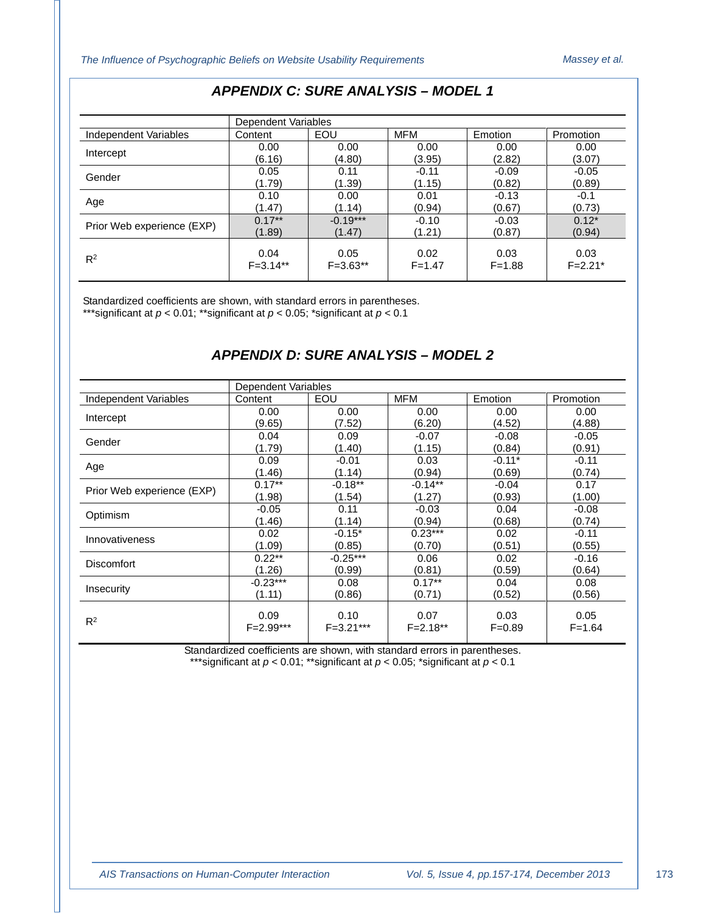|                            | Dependent Variables |              |            |            |             |
|----------------------------|---------------------|--------------|------------|------------|-------------|
| Independent Variables      | Content             | EOU          | <b>MFM</b> | Emotion    | Promotion   |
| Intercept                  | 0.00                | 0.00         | 0.00       | 0.00       | 0.00        |
|                            | (6.16)              | (4.80)       | (3.95)     | (2.82)     | (3.07)      |
| Gender                     | 0.05                | 0.11         | $-0.11$    | $-0.09$    | $-0.05$     |
|                            | (1.79)              | (1.39)       | (1.15)     | (0.82)     | (0.89)      |
|                            | 0.10                | 0.00         | 0.01       | $-0.13$    | $-0.1$      |
| Age                        | (1.47)              | (1.14)       | (0.94)     | (0.67)     | (0.73)      |
| Prior Web experience (EXP) | $0.17**$            | $-0.19***$   | $-0.10$    | $-0.03$    | $0.12*$     |
|                            | (1.89)              | (1.47)       | (1.21)     | (0.87)     | (0.94)      |
|                            | 0.04                | 0.05         | 0.02       | 0.03       | 0.03        |
| $R^2$                      | $F = 3.14***$       | $F = 3.63**$ | $F = 1.47$ | $F = 1.88$ | $F = 2.21*$ |

## *APPENDIX C: SURE ANALYSIS – MODEL 1*

Standardized coefficients are shown, with standard errors in parentheses. \*\*\*significant at *p* < 0.01; \*\*significant at *p* < 0.05; \*significant at *p* < 0.1

## *APPENDIX D: SURE ANALYSIS – MODEL 2*

|                            | Dependent Variables |               |              |            |            |
|----------------------------|---------------------|---------------|--------------|------------|------------|
| Independent Variables      | Content             | EOU           | <b>MFM</b>   | Emotion    | Promotion  |
| Intercept                  | 0.00                | 0.00          | 0.00         | 0.00       | 0.00       |
|                            | (9.65)              | (7.52)        | (6.20)       | (4.52)     | (4.88)     |
| Gender                     | 0.04                | 0.09          | $-0.07$      | $-0.08$    | $-0.05$    |
|                            | (1.79)              | (1.40)        | (1.15)       | (0.84)     | (0.91)     |
| Age                        | 0.09                | $-0.01$       | 0.03         | $-0.11*$   | $-0.11$    |
|                            | (1.46)              | (1.14)        | (0.94)       | (0.69)     | (0.74)     |
| Prior Web experience (EXP) | $0.17***$           | $-0.18***$    | $-0.14**$    | $-0.04$    | 0.17       |
|                            | (1.98)              | (1.54)        | (1.27)       | (0.93)     | (1.00)     |
| Optimism                   | $-0.05$             | 0.11          | $-0.03$      | 0.04       | $-0.08$    |
|                            | (1.46)              | (1.14)        | (0.94)       | (0.68)     | (0.74)     |
| Innovativeness             | 0.02                | $-0.15*$      | $0.23***$    | 0.02       | $-0.11$    |
|                            | (1.09)              | (0.85)        | (0.70)       | (0.51)     | (0.55)     |
| <b>Discomfort</b>          | $0.22**$            | $-0.25***$    | 0.06         | 0.02       | $-0.16$    |
|                            | (1.26)              | (0.99)        | (0.81)       | (0.59)     | (0.64)     |
| Insecurity                 | $-0.23***$          | 0.08          | $0.17***$    | 0.04       | 0.08       |
|                            | (1.11)              | (0.86)        | (0.71)       | (0.52)     | (0.56)     |
|                            |                     |               |              |            |            |
| $R^2$                      | 0.09                | 0.10          | 0.07         | 0.03       | 0.05       |
|                            | $F = 2.99***$       | $F = 3.21***$ | $F = 2.18**$ | $F = 0.89$ | $F = 1.64$ |

Standardized coefficients are shown, with standard errors in parentheses. \*\*\*significant at *p* < 0.01; \*\*significant at *p* < 0.05; \*significant at *p* < 0.1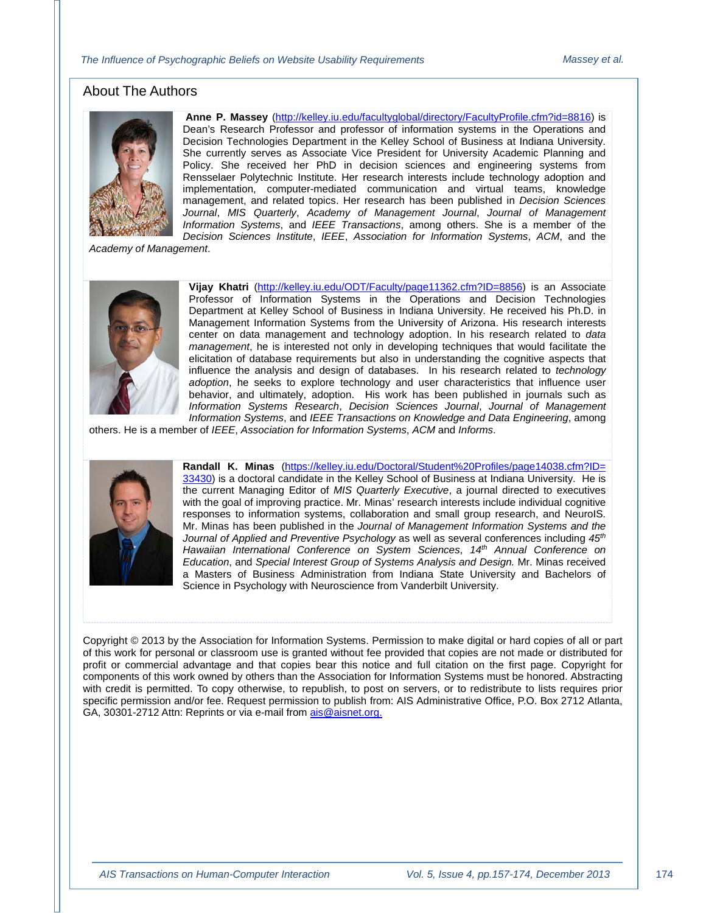## About The Authors



**Anne P. Massey** [\(http://kelley.iu.edu/facultyglobal/directory/FacultyProfile.cfm?id=8816\)](http://kelley.iu.edu/facultyglobal/directory/FacultyProfile.cfm?id=8816) is Dean's Research Professor and professor of information systems in the Operations and Decision Technologies Department in the Kelley School of Business at Indiana University. She currently serves as Associate Vice President for University Academic Planning and Policy. She received her PhD in decision sciences and engineering systems from Rensselaer Polytechnic Institute. Her research interests include technology adoption and implementation, computer-mediated communication and virtual teams, knowledge management, and related topics. Her research has been published in *Decision Sciences Journal*, *MIS Quarterly*, *Academy of Management Journal*, *Journal of Management Information Systems*, and *IEEE Transactions*, among others. She is a member of the *Decision Sciences Institute*, *IEEE*, *Association for Information Systems*, *ACM*, and the

*Academy of Management*.



**Vijay Khatri** [\(http://kelley.iu.edu/ODT/Faculty/page11362.cfm?ID=8856\)](http://kelley.iu.edu/ODT/Faculty/page11362.cfm?ID=8856) is an Associate Professor of Information Systems in the Operations and Decision Technologies Department at Kelley School of Business in Indiana University. He received his Ph.D. in Management Information Systems from the University of Arizona. His research interests center on data management and technology adoption. In his research related to *data management*, he is interested not only in developing techniques that would facilitate the elicitation of database requirements but also in understanding the cognitive aspects that influence the analysis and design of databases. In his research related to *technology adoption*, he seeks to explore technology and user characteristics that influence user behavior, and ultimately, adoption. His work has been published in journals such as *Information Systems Research*, *Decision Sciences Journal*, *Journal of Management Information Systems*, and *IEEE Transactions on Knowledge and Data Engineering*, among

others. He is a member of *IEEE*, *Association for Information Systems*, *ACM* and *Informs*.



**Randall K. Minas** [\(https://kelley.iu.edu/Doctoral/Student%20Profiles/page14038.cfm?ID=](https://kelley.iu.edu/Doctoral/Student%20Profiles/page14038.cfm?ID=%2033430)  [33430\)](https://kelley.iu.edu/Doctoral/Student%20Profiles/page14038.cfm?ID=%2033430) is a doctoral candidate in the Kelley School of Business at Indiana University. He is the current Managing Editor of *MIS Quarterly Executive*, a journal directed to executives with the goal of improving practice. Mr. Minas' research interests include individual cognitive responses to information systems, collaboration and small group research, and NeuroIS. Mr. Minas has been published in the *Journal of Management Information Systems and the Journal of Applied and Preventive Psychology* as well as several conferences including *45th Hawaiian International Conference on System Sciences*, *14th Annual Conference on Education*, and *Special Interest Group of Systems Analysis and Design.* Mr. Minas received a Masters of Business Administration from Indiana State University and Bachelors of Science in Psychology with Neuroscience from Vanderbilt University.

Copyright © 2013 by the Association for Information Systems. Permission to make digital or hard copies of all or part of this work for personal or classroom use is granted without fee provided that copies are not made or distributed for profit or commercial advantage and that copies bear this notice and full citation on the first page. Copyright for components of this work owned by others than the Association for Information Systems must be honored. Abstracting with credit is permitted. To copy otherwise, to republish, to post on servers, or to redistribute to lists requires prior specific permission and/or fee. Request permission to publish from: AIS Administrative Office, P.O. Box 2712 Atlanta, GA, 30301-2712 Attn: Reprints or via e-mail from [ais@aisnet.org.](mailto:ais@gsu.edu)